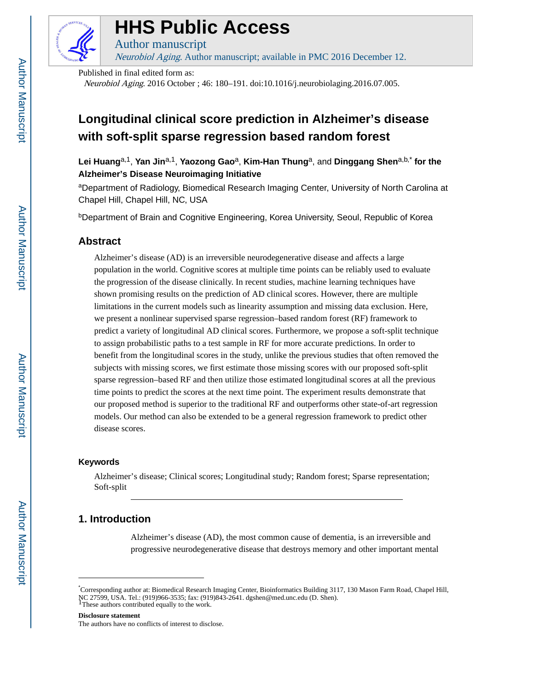

### **HHS Public Access**

Author manuscript Neurobiol Aging. Author manuscript; available in PMC 2016 December 12.

Published in final edited form as:

Neurobiol Aging. 2016 October ; 46: 180–191. doi:10.1016/j.neurobiolaging.2016.07.005.

### **Longitudinal clinical score prediction in Alzheimer's disease with soft-split sparse regression based random forest**

Lei Huang<sup>a,1</sup>, Yan Jin<sup>a,1</sup>, Yaozong Gao<sup>a</sup>, Kim-Han Thung<sup>a</sup>, and Dinggang Shen<sup>a,b,\*</sup> for the **Alzheimer's Disease Neuroimaging Initiative**

aDepartment of Radiology, Biomedical Research Imaging Center, University of North Carolina at Chapel Hill, Chapel Hill, NC, USA

<sup>b</sup>Department of Brain and Cognitive Engineering, Korea University, Seoul, Republic of Korea

#### **Abstract**

Alzheimer's disease (AD) is an irreversible neurodegenerative disease and affects a large population in the world. Cognitive scores at multiple time points can be reliably used to evaluate the progression of the disease clinically. In recent studies, machine learning techniques have shown promising results on the prediction of AD clinical scores. However, there are multiple limitations in the current models such as linearity assumption and missing data exclusion. Here, we present a nonlinear supervised sparse regression–based random forest (RF) framework to predict a variety of longitudinal AD clinical scores. Furthermore, we propose a soft-split technique to assign probabilistic paths to a test sample in RF for more accurate predictions. In order to benefit from the longitudinal scores in the study, unlike the previous studies that often removed the subjects with missing scores, we first estimate those missing scores with our proposed soft-split sparse regression–based RF and then utilize those estimated longitudinal scores at all the previous time points to predict the scores at the next time point. The experiment results demonstrate that our proposed method is superior to the traditional RF and outperforms other state-of-art regression models. Our method can also be extended to be a general regression framework to predict other disease scores.

#### **Keywords**

Alzheimer's disease; Clinical scores; Longitudinal study; Random forest; Sparse representation; Soft-split

#### **1. Introduction**

Alzheimer's disease (AD), the most common cause of dementia, is an irreversible and progressive neurodegenerative disease that destroys memory and other important mental

#### **Disclosure statement**

<sup>\*</sup>Corresponding author at: Biomedical Research Imaging Center, Bioinformatics Building 3117, 130 Mason Farm Road, Chapel Hill, NC 27599, USA. Tel.: (919)966-3535; fax: (919)843-2641. dgshen@med.unc.edu (D. Shen).<br><sup>1</sup>These authors contributed equally to the work.

The authors have no conflicts of interest to disclose.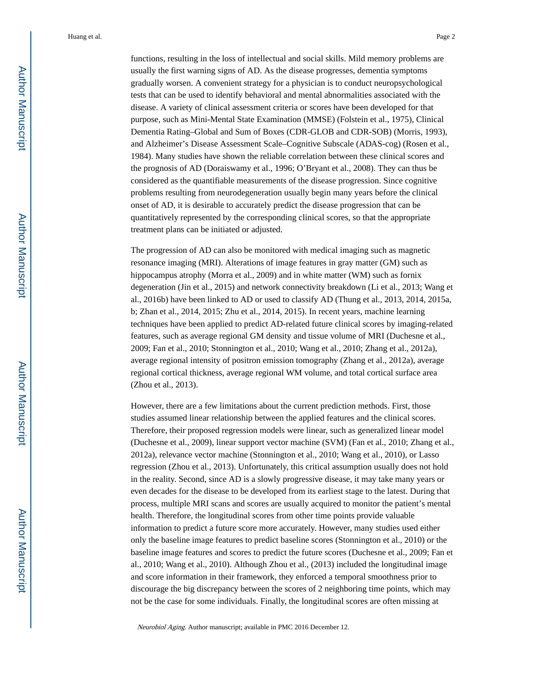functions, resulting in the loss of intellectual and social skills. Mild memory problems are usually the first warning signs of AD. As the disease progresses, dementia symptoms gradually worsen. A convenient strategy for a physician is to conduct neuropsychological tests that can be used to identify behavioral and mental abnormalities associated with the disease. A variety of clinical assessment criteria or scores have been developed for that purpose, such as Mini-Mental State Examination (MMSE) (Folstein et al., 1975), Clinical Dementia Rating–Global and Sum of Boxes (CDR-GLOB and CDR-SOB) (Morris, 1993), and Alzheimer's Disease Assessment Scale–Cognitive Subscale (ADAS-cog) (Rosen et al., 1984). Many studies have shown the reliable correlation between these clinical scores and the prognosis of AD (Doraiswamy et al., 1996; O'Bryant et al., 2008). They can thus be considered as the quantifiable measurements of the disease progression. Since cognitive problems resulting from neurodegeneration usually begin many years before the clinical onset of AD, it is desirable to accurately predict the disease progression that can be quantitatively represented by the corresponding clinical scores, so that the appropriate treatment plans can be initiated or adjusted.

The progression of AD can also be monitored with medical imaging such as magnetic resonance imaging (MRI). Alterations of image features in gray matter (GM) such as hippocampus atrophy (Morra et al., 2009) and in white matter (WM) such as fornix degeneration (Jin et al., 2015) and network connectivity breakdown (Li et al., 2013; Wang et al., 2016b) have been linked to AD or used to classify AD (Thung et al., 2013, 2014, 2015a, b; Zhan et al., 2014, 2015; Zhu et al., 2014, 2015). In recent years, machine learning techniques have been applied to predict AD-related future clinical scores by imaging-related features, such as average regional GM density and tissue volume of MRI (Duchesne et al., 2009; Fan et al., 2010; Stonnington et al., 2010; Wang et al., 2010; Zhang et al., 2012a), average regional intensity of positron emission tomography (Zhang et al., 2012a), average regional cortical thickness, average regional WM volume, and total cortical surface area (Zhou et al., 2013).

However, there are a few limitations about the current prediction methods. First, those studies assumed linear relationship between the applied features and the clinical scores. Therefore, their proposed regression models were linear, such as generalized linear model (Duchesne et al., 2009), linear support vector machine (SVM) (Fan et al., 2010; Zhang et al., 2012a), relevance vector machine (Stonnington et al., 2010; Wang et al., 2010), or Lasso regression (Zhou et al., 2013). Unfortunately, this critical assumption usually does not hold in the reality. Second, since AD is a slowly progressive disease, it may take many years or even decades for the disease to be developed from its earliest stage to the latest. During that process, multiple MRI scans and scores are usually acquired to monitor the patient's mental health. Therefore, the longitudinal scores from other time points provide valuable information to predict a future score more accurately. However, many studies used either only the baseline image features to predict baseline scores (Stonnington et al., 2010) or the baseline image features and scores to predict the future scores (Duchesne et al., 2009; Fan et al., 2010; Wang et al., 2010). Although Zhou et al., (2013) included the longitudinal image and score information in their framework, they enforced a temporal smoothness prior to discourage the big discrepancy between the scores of 2 neighboring time points, which may not be the case for some individuals. Finally, the longitudinal scores are often missing at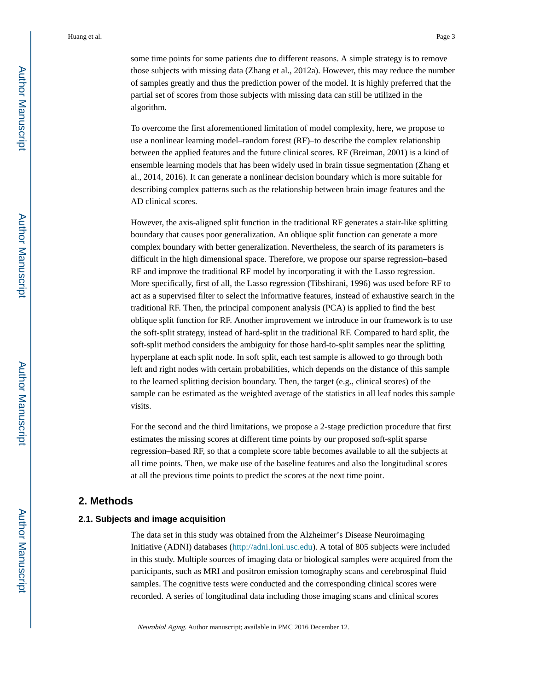some time points for some patients due to different reasons. A simple strategy is to remove those subjects with missing data (Zhang et al., 2012a). However, this may reduce the number of samples greatly and thus the prediction power of the model. It is highly preferred that the partial set of scores from those subjects with missing data can still be utilized in the algorithm.

To overcome the first aforementioned limitation of model complexity, here, we propose to use a nonlinear learning model–random forest (RF)–to describe the complex relationship between the applied features and the future clinical scores. RF (Breiman, 2001) is a kind of ensemble learning models that has been widely used in brain tissue segmentation (Zhang et al., 2014, 2016). It can generate a nonlinear decision boundary which is more suitable for describing complex patterns such as the relationship between brain image features and the AD clinical scores.

However, the axis-aligned split function in the traditional RF generates a stair-like splitting boundary that causes poor generalization. An oblique split function can generate a more complex boundary with better generalization. Nevertheless, the search of its parameters is difficult in the high dimensional space. Therefore, we propose our sparse regression–based RF and improve the traditional RF model by incorporating it with the Lasso regression. More specifically, first of all, the Lasso regression (Tibshirani, 1996) was used before RF to act as a supervised filter to select the informative features, instead of exhaustive search in the traditional RF. Then, the principal component analysis (PCA) is applied to find the best oblique split function for RF. Another improvement we introduce in our framework is to use the soft-split strategy, instead of hard-split in the traditional RF. Compared to hard split, the soft-split method considers the ambiguity for those hard-to-split samples near the splitting hyperplane at each split node. In soft split, each test sample is allowed to go through both left and right nodes with certain probabilities, which depends on the distance of this sample to the learned splitting decision boundary. Then, the target (e.g., clinical scores) of the sample can be estimated as the weighted average of the statistics in all leaf nodes this sample visits.

For the second and the third limitations, we propose a 2-stage prediction procedure that first estimates the missing scores at different time points by our proposed soft-split sparse regression–based RF, so that a complete score table becomes available to all the subjects at all time points. Then, we make use of the baseline features and also the longitudinal scores at all the previous time points to predict the scores at the next time point.

#### **2. Methods**

#### **2.1. Subjects and image acquisition**

The data set in this study was obtained from the Alzheimer's Disease Neuroimaging Initiative (ADNI) databases (<http://adni.loni.usc.edu>). A total of 805 subjects were included in this study. Multiple sources of imaging data or biological samples were acquired from the participants, such as MRI and positron emission tomography scans and cerebrospinal fluid samples. The cognitive tests were conducted and the corresponding clinical scores were recorded. A series of longitudinal data including those imaging scans and clinical scores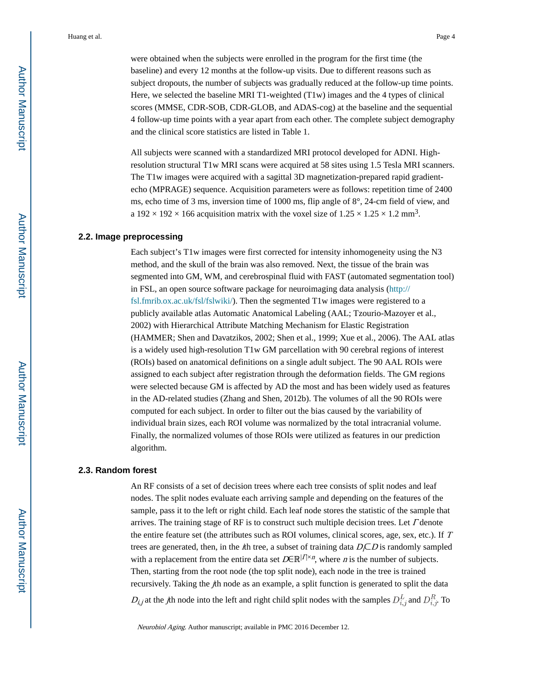were obtained when the subjects were enrolled in the program for the first time (the baseline) and every 12 months at the follow-up visits. Due to different reasons such as subject dropouts, the number of subjects was gradually reduced at the follow-up time points. Here, we selected the baseline MRI T1-weighted (T1w) images and the 4 types of clinical scores (MMSE, CDR-SOB, CDR-GLOB, and ADAS-cog) at the baseline and the sequential 4 follow-up time points with a year apart from each other. The complete subject demography and the clinical score statistics are listed in Table 1.

All subjects were scanned with a standardized MRI protocol developed for ADNI. Highresolution structural T1w MRI scans were acquired at 58 sites using 1.5 Tesla MRI scanners. The T1w images were acquired with a sagittal 3D magnetization-prepared rapid gradientecho (MPRAGE) sequence. Acquisition parameters were as follows: repetition time of 2400 ms, echo time of 3 ms, inversion time of 1000 ms, flip angle of 8°, 24-cm field of view, and a  $192 \times 192 \times 166$  acquisition matrix with the voxel size of  $1.25 \times 1.25 \times 1.2$  mm<sup>3</sup>.

#### **2.2. Image preprocessing**

Each subject's T1w images were first corrected for intensity inhomogeneity using the N3 method, and the skull of the brain was also removed. Next, the tissue of the brain was segmented into GM, WM, and cerebrospinal fluid with FAST (automated segmentation tool) in FSL, an open source software package for neuroimaging data analysis [\(http://](http://fsl.fmrib.ox.ac.uk/fsl/fslwiki/) [fsl.fmrib.ox.ac.uk/fsl/fslwiki/\)](http://fsl.fmrib.ox.ac.uk/fsl/fslwiki/). Then the segmented T1w images were registered to a publicly available atlas Automatic Anatomical Labeling (AAL; Tzourio-Mazoyer et al., 2002) with Hierarchical Attribute Matching Mechanism for Elastic Registration (HAMMER; Shen and Davatzikos, 2002; Shen et al., 1999; Xue et al., 2006). The AAL atlas is a widely used high-resolution T1w GM parcellation with 90 cerebral regions of interest (ROIs) based on anatomical definitions on a single adult subject. The 90 AAL ROIs were assigned to each subject after registration through the deformation fields. The GM regions were selected because GM is affected by AD the most and has been widely used as features in the AD-related studies (Zhang and Shen, 2012b). The volumes of all the 90 ROIs were computed for each subject. In order to filter out the bias caused by the variability of individual brain sizes, each ROI volume was normalized by the total intracranial volume. Finally, the normalized volumes of those ROIs were utilized as features in our prediction algorithm.

#### **2.3. Random forest**

An RF consists of a set of decision trees where each tree consists of split nodes and leaf nodes. The split nodes evaluate each arriving sample and depending on the features of the sample, pass it to the left or right child. Each leaf node stores the statistic of the sample that arrives. The training stage of RF is to construct such multiple decision trees. Let  $\Gamma$  denote the entire feature set (the attributes such as ROI volumes, clinical scores, age, sex, etc.). If <sup>T</sup> trees are generated, then, in the  $i$ th tree, a subset of training data  $D_j \subset D$  is randomly sampled with a replacement from the entire data set  $D\in\mathbb{R}^{|I|\times n}$ , where *n* is the number of subjects. Then, starting from the root node (the top split node), each node in the tree is trained recursively. Taking the *j*th node as an example, a split function is generated to split the data  $D_{i,j}$  at the *j*th node into the left and right child split nodes with the samples  $D_{i,j}^L$  and  $D_{i,j}^R$ . To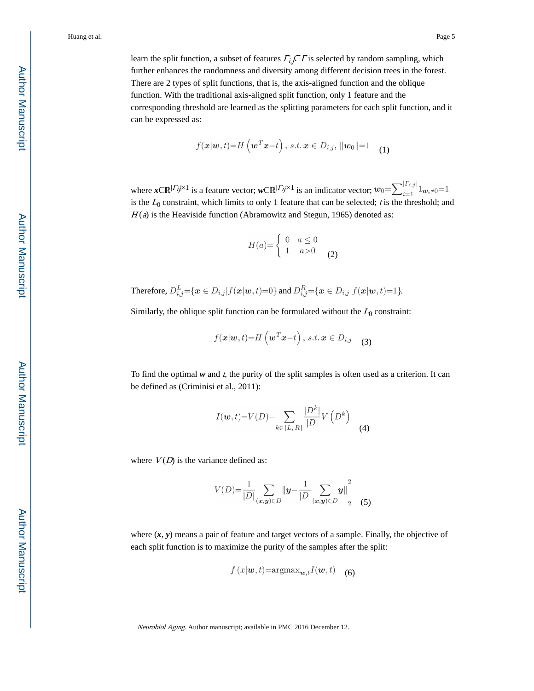learn the split function, a subset of features  $\Gamma_{i,j} \subset \Gamma$  is selected by random sampling, which further enhances the randomness and diversity among different decision trees in the forest. There are 2 types of split functions, that is, the axis-aligned function and the oblique function. With the traditional axis-aligned split function, only 1 feature and the corresponding threshold are learned as the splitting parameters for each split function, and it can be expressed as:

$$
f(\mathbf{x}|\mathbf{w},t)=H\left(\mathbf{w}^T\mathbf{x}-t\right),\,s.t.\,\mathbf{x}\in D_{i,j},\,\|\mathbf{w}_0\|=1\quad(1)
$$

where  $\mathbf{x} \in \mathbb{R}^{|F_j|\times 1}$  is a feature vector;  $\mathbf{w} \in \mathbb{R}^{|F_j|\times 1}$  is an indicator vector; is the  $L_0$  constraint, which limits to only 1 feature that can be selected; *t* is the threshold; and  $H(a)$  is the Heaviside function (Abramowitz and Stegun, 1965) denoted as:

$$
H(a) = \begin{cases} 0 & a \le 0 \\ 1 & a > 0 \end{cases}
$$
 (2)

Therefore,  $D_{i,j}^L = \{x \in D_{i,j} | f(x|w, t) = 0\}$  and  $D_{i,j}^R = \{x \in D_{i,j} | f(x|w, t) = 1\}.$ 

Similarly, the oblique split function can be formulated without the  $L_0$  constraint:

$$
f(\boldsymbol{x}|\boldsymbol{w},t) = H\left(\boldsymbol{w}^T\boldsymbol{x}-t\right), \, s.t. \, \boldsymbol{x} \in D_{i,j} \quad (3)
$$

To find the optimal  $w$  and  $t$ , the purity of the split samples is often used as a criterion. It can be defined as (Criminisi et al., 2011):

$$
I(\mathbf{w}, t) = V(D) - \sum_{k \in \{L, R\}} \frac{|D^k|}{|D|} V(D^k)
$$
(4)

where  $V(D)$  is the variance defined as:

$$
V(D) = \frac{1}{|D|} \sum_{(x,y)\in D} ||y - \frac{1}{|D|} \sum_{(x,y)\in D} y||^2
$$
 (5)

where  $(x, y)$  means a pair of feature and target vectors of a sample. Finally, the objective of each split function is to maximize the purity of the samples after the split:

$$
f(x|\boldsymbol{w},t) = \operatorname{argmax}_{\boldsymbol{w},t} I(\boldsymbol{w},t)
$$
 (6)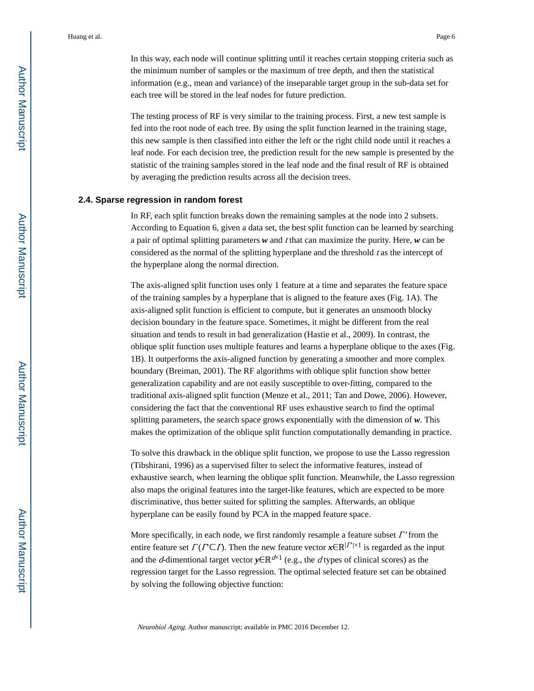In this way, each node will continue splitting until it reaches certain stopping criteria such as the minimum number of samples or the maximum of tree depth, and then the statistical information (e.g., mean and variance) of the inseparable target group in the sub-data set for each tree will be stored in the leaf nodes for future prediction.

The testing process of RF is very similar to the training process. First, a new test sample is fed into the root node of each tree. By using the split function learned in the training stage, this new sample is then classified into either the left or the right child node until it reaches a leaf node. For each decision tree, the prediction result for the new sample is presented by the statistic of the training samples stored in the leaf node and the final result of RF is obtained by averaging the prediction results across all the decision trees.

#### **2.4. Sparse regression in random forest**

In RF, each split function breaks down the remaining samples at the node into 2 subsets. According to Equation 6, given a data set, the best split function can be learned by searching a pair of optimal splitting parameters  $w$  and  $t$  that can maximize the purity. Here,  $w$  can be considered as the normal of the splitting hyperplane and the threshold  $t$  as the intercept of the hyperplane along the normal direction.

The axis-aligned split function uses only 1 feature at a time and separates the feature space of the training samples by a hyperplane that is aligned to the feature axes (Fig. 1A). The axis-aligned split function is efficient to compute, but it generates an unsmooth blocky decision boundary in the feature space. Sometimes, it might be different from the real situation and tends to result in bad generalization (Hastie et al., 2009). In contrast, the oblique split function uses multiple features and learns a hyperplane oblique to the axes (Fig. 1B). It outperforms the axis-aligned function by generating a smoother and more complex boundary (Breiman, 2001). The RF algorithms with oblique split function show better generalization capability and are not easily susceptible to over-fitting, compared to the traditional axis-aligned split function (Menze et al., 2011; Tan and Dowe, 2006). However, considering the fact that the conventional RF uses exhaustive search to find the optimal splitting parameters, the search space grows exponentially with the dimension of *w*. This makes the optimization of the oblique split function computationally demanding in practice.

To solve this drawback in the oblique split function, we propose to use the Lasso regression (Tibshirani, 1996) as a supervised filter to select the informative features, instead of exhaustive search, when learning the oblique split function. Meanwhile, the Lasso regression also maps the original features into the target-like features, which are expected to be more discriminative, thus better suited for splitting the samples. Afterwards, an oblique hyperplane can be easily found by PCA in the mapped feature space.

More specifically, in each node, we first randomly resample a feature subset <sup>Γ</sup>' from the entire feature set  $\Gamma(\Gamma \subset \Gamma)$ . Then the new feature vector  $\mathbf{x} \in \mathbb{R}^{|\Gamma| \times 1}$  is regarded as the input and the *d*-dimentional target vector  $y \in \mathbb{R}^{d \times 1}$  (e.g., the *d* types of clinical scores) as the regression target for the Lasso regression. The optimal selected feature set can be obtained by solving the following objective function: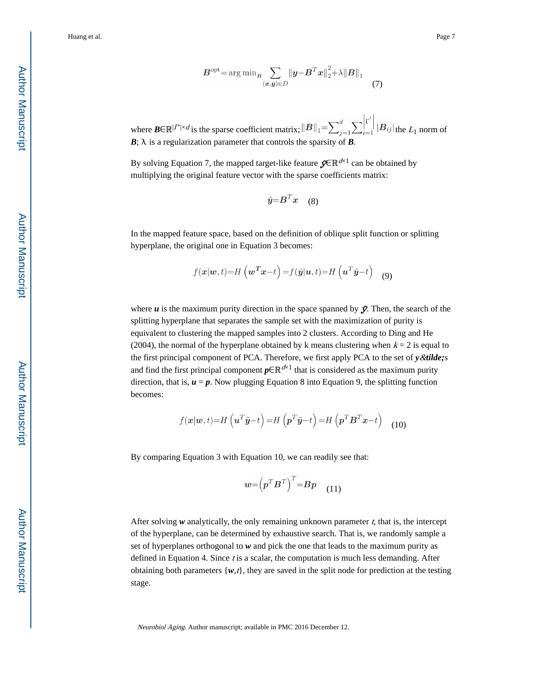$$
B^{\text{opt}} = \arg\min_{B} \sum_{(x,y)\in D} ||y - B^T x||_2^2 + \lambda ||B||_1
$$
 (7)

where  $B\in\mathbb{R}^{|P|\times d}$  is the sparse coefficient matrix;  $||B||_1 = \sum_{j=1}^{\infty} \sum_{i=1}^{\infty} ||B_{ij}||$  the  $L_1$  norm of  $\mathbf{B}$ ;  $\lambda$  is a regularization parameter that controls the sparsity of  $\mathbf{B}$ .

By solving Equation 7, the mapped target-like feature  $\mathbf{\tilde{y}} \in \mathbb{R}^{d \times 1}$  can be obtained by multiplying the original feature vector with the sparse coefficients matrix:

$$
\tilde y {=} B^T x \quad (8)
$$

In the mapped feature space, based on the definition of oblique split function or splitting hyperplane, the original one in Equation 3 becomes:

$$
f(\mathbf{x}|\mathbf{w},t)=H\left(\mathbf{w}^T\mathbf{x}-t\right)=f(\tilde{\mathbf{y}}|\mathbf{u},t)=H\left(\mathbf{u}^T\tilde{\mathbf{y}}-t\right)
$$
(9)

where  $\boldsymbol{u}$  is the maximum purity direction in the space spanned by  $\boldsymbol{\tilde{y}}$ . Then, the search of the splitting hyperplane that separates the sample set with the maximization of purity is equivalent to clustering the mapped samples into 2 clusters. According to Ding and He (2004), the normal of the hyperplane obtained by k means clustering when  $k = 2$  is equal to the first principal component of PCA. Therefore, we first apply PCA to the set of *y*&*tilde;*s and find the first principal component  $p \in \mathbb{R}^{d \times 1}$  that is considered as the maximum purity direction, that is,  $\mathbf{u} = \mathbf{p}$ . Now plugging Equation 8 into Equation 9, the splitting function becomes:

$$
f(\mathbf{x}|\mathbf{w},t) = H\left(\mathbf{u}^T \tilde{\mathbf{y}} - t\right) = H\left(\mathbf{p}^T \tilde{\mathbf{y}} - t\right) = H\left(\mathbf{p}^T \mathbf{B}^T \mathbf{x} - t\right) \tag{10}
$$

By comparing Equation 3 with Equation 10, we can readily see that:

$$
\boldsymbol{w}\text{=}{}\Big(\boldsymbol{p}^T\boldsymbol{B}^T\Big)^T\text{=}{}\boldsymbol{B}\boldsymbol{p}\quad \ (11)
$$

After solving  $w$  analytically, the only remaining unknown parameter  $t$ , that is, the intercept of the hyperplane, can be determined by exhaustive search. That is, we randomly sample a set of hyperplanes orthogonal to *w* and pick the one that leads to the maximum purity as defined in Equation 4. Since t is a scalar, the computation is much less demanding. After obtaining both parameters  $\{w,t\}$ , they are saved in the split node for prediction at the testing stage.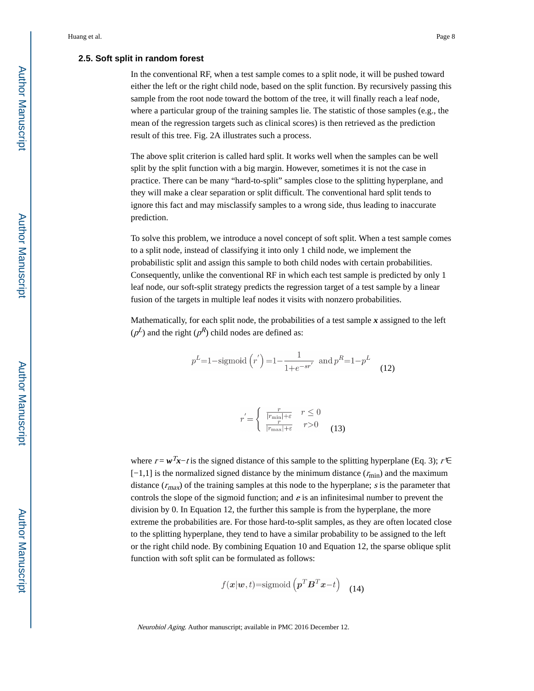#### **2.5. Soft split in random forest**

In the conventional RF, when a test sample comes to a split node, it will be pushed toward either the left or the right child node, based on the split function. By recursively passing this sample from the root node toward the bottom of the tree, it will finally reach a leaf node, where a particular group of the training samples lie. The statistic of those samples (e.g., the mean of the regression targets such as clinical scores) is then retrieved as the prediction result of this tree. Fig. 2A illustrates such a process.

The above split criterion is called hard split. It works well when the samples can be well split by the split function with a big margin. However, sometimes it is not the case in practice. There can be many "hard-to-split" samples close to the splitting hyperplane, and they will make a clear separation or split difficult. The conventional hard split tends to ignore this fact and may misclassify samples to a wrong side, thus leading to inaccurate prediction.

To solve this problem, we introduce a novel concept of soft split. When a test sample comes to a split node, instead of classifying it into only 1 child node, we implement the probabilistic split and assign this sample to both child nodes with certain probabilities. Consequently, unlike the conventional RF in which each test sample is predicted by only 1 leaf node, our soft-split strategy predicts the regression target of a test sample by a linear fusion of the targets in multiple leaf nodes it visits with nonzero probabilities.

Mathematically, for each split node, the probabilities of a test sample  $x$  assigned to the left  $(p<sup>L</sup>)$  and the right  $(p<sup>R</sup>)$  child nodes are defined as:

$$
p^L=1-\text{sigmoid}(r')=1-\frac{1}{1+e^{-sr'}}\text{ and }p^R=1-p^L
$$
 (12)

$$
r' = \begin{cases} \frac{r}{|r_{\min}|+\varepsilon} & r \le 0\\ \frac{r}{|r_{\max}|+\varepsilon} & r > 0 \end{cases}
$$
(13)

where  $r = w^T x - t$  is the signed distance of this sample to the splitting hyperplane (Eq. 3);  $r \in$  $[-1,1]$  is the normalized signed distance by the minimum distance  $(r_{min})$  and the maximum distance  $(r_{max})$  of the training samples at this node to the hyperplane; s is the parameter that controls the slope of the sigmoid function; and  $\varepsilon$  is an infinitesimal number to prevent the division by 0. In Equation 12, the further this sample is from the hyperplane, the more extreme the probabilities are. For those hard-to-split samples, as they are often located close to the splitting hyperplane, they tend to have a similar probability to be assigned to the left or the right child node. By combining Equation 10 and Equation 12, the sparse oblique split function with soft split can be formulated as follows:

$$
f(\boldsymbol{x}|\boldsymbol{w},t) = \text{sigmoid}\left(\boldsymbol{p}^T \boldsymbol{B}^T \boldsymbol{x} - t\right) \tag{14}
$$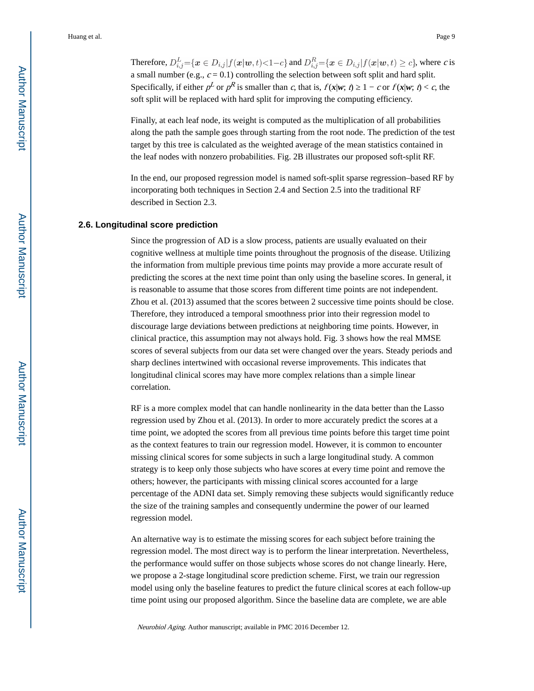Therefore,  $D_{i,j}^L = \{x \in D_{i,j} | f(x|w,t) < 1-c\}$  and  $D_{i,j}^R = \{x \in D_{i,j} | f(x|w,t) \ge c\}$ , where c is a small number (e.g.,  $c = 0.1$ ) controlling the selection between soft split and hard split. Specifically, if either  $p^L$  or  $p^R$  is smaller than c, that is,  $f(x|w; t) = 1 - c$  or  $f(x|w; t) < c$ , the soft split will be replaced with hard split for improving the computing efficiency.

Finally, at each leaf node, its weight is computed as the multiplication of all probabilities along the path the sample goes through starting from the root node. The prediction of the test target by this tree is calculated as the weighted average of the mean statistics contained in the leaf nodes with nonzero probabilities. Fig. 2B illustrates our proposed soft-split RF.

In the end, our proposed regression model is named soft-split sparse regression–based RF by incorporating both techniques in Section 2.4 and Section 2.5 into the traditional RF described in Section 2.3.

#### **2.6. Longitudinal score prediction**

Since the progression of AD is a slow process, patients are usually evaluated on their cognitive wellness at multiple time points throughout the prognosis of the disease. Utilizing the information from multiple previous time points may provide a more accurate result of predicting the scores at the next time point than only using the baseline scores. In general, it is reasonable to assume that those scores from different time points are not independent. Zhou et al. (2013) assumed that the scores between 2 successive time points should be close. Therefore, they introduced a temporal smoothness prior into their regression model to discourage large deviations between predictions at neighboring time points. However, in clinical practice, this assumption may not always hold. Fig. 3 shows how the real MMSE scores of several subjects from our data set were changed over the years. Steady periods and sharp declines intertwined with occasional reverse improvements. This indicates that longitudinal clinical scores may have more complex relations than a simple linear correlation.

RF is a more complex model that can handle nonlinearity in the data better than the Lasso regression used by Zhou et al. (2013). In order to more accurately predict the scores at a time point, we adopted the scores from all previous time points before this target time point as the context features to train our regression model. However, it is common to encounter missing clinical scores for some subjects in such a large longitudinal study. A common strategy is to keep only those subjects who have scores at every time point and remove the others; however, the participants with missing clinical scores accounted for a large percentage of the ADNI data set. Simply removing these subjects would significantly reduce the size of the training samples and consequently undermine the power of our learned regression model.

An alternative way is to estimate the missing scores for each subject before training the regression model. The most direct way is to perform the linear interpretation. Nevertheless, the performance would suffer on those subjects whose scores do not change linearly. Here, we propose a 2-stage longitudinal score prediction scheme. First, we train our regression model using only the baseline features to predict the future clinical scores at each follow-up time point using our proposed algorithm. Since the baseline data are complete, we are able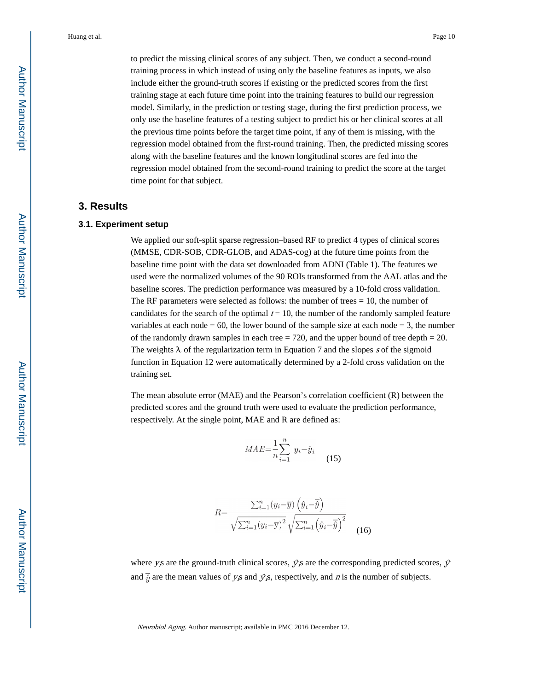to predict the missing clinical scores of any subject. Then, we conduct a second-round training process in which instead of using only the baseline features as inputs, we also include either the ground-truth scores if existing or the predicted scores from the first training stage at each future time point into the training features to build our regression model. Similarly, in the prediction or testing stage, during the first prediction process, we only use the baseline features of a testing subject to predict his or her clinical scores at all the previous time points before the target time point, if any of them is missing, with the regression model obtained from the first-round training. Then, the predicted missing scores along with the baseline features and the known longitudinal scores are fed into the regression model obtained from the second-round training to predict the score at the target time point for that subject.

#### **3. Results**

#### **3.1. Experiment setup**

We applied our soft-split sparse regression–based RF to predict 4 types of clinical scores (MMSE, CDR-SOB, CDR-GLOB, and ADAS-cog) at the future time points from the baseline time point with the data set downloaded from ADNI (Table 1). The features we used were the normalized volumes of the 90 ROIs transformed from the AAL atlas and the baseline scores. The prediction performance was measured by a 10-fold cross validation. The RF parameters were selected as follows: the number of trees  $= 10$ , the number of candidates for the search of the optimal  $t = 10$ , the number of the randomly sampled feature variables at each node  $= 60$ , the lower bound of the sample size at each node  $= 3$ , the number of the randomly drawn samples in each tree  $= 720$ , and the upper bound of tree depth  $= 20$ . The weights  $\lambda$  of the regularization term in Equation 7 and the slopes s of the sigmoid function in Equation 12 were automatically determined by a 2-fold cross validation on the training set.

The mean absolute error (MAE) and the Pearson's correlation coefficient (R) between the predicted scores and the ground truth were used to evaluate the prediction performance, respectively. At the single point, MAE and R are defined as:

$$
MAE = \frac{1}{n} \sum_{i=1}^{n} |y_i - \hat{y}_i|
$$
 (15)

$$
R = \frac{\sum_{i=1}^{n} (y_i - \overline{y}) \left(\hat{y}_i - \overline{\hat{y}}\right)}{\sqrt{\sum_{i=1}^{n} (y_i - \overline{y})^2} \sqrt{\sum_{i=1}^{n} \left(\hat{y}_i - \overline{\hat{y}}\right)^2}}
$$
(16)

where  $y<sub>j</sub>$  are the ground-truth clinical scores,  $\hat{y}_j$  are the corresponding predicted scores,  $\hat{y}$ and  $\bar{\hat{y}}$  are the mean values of y<sub>i</sub>s and  $\hat{y}$ s, respectively, and *n* is the number of subjects.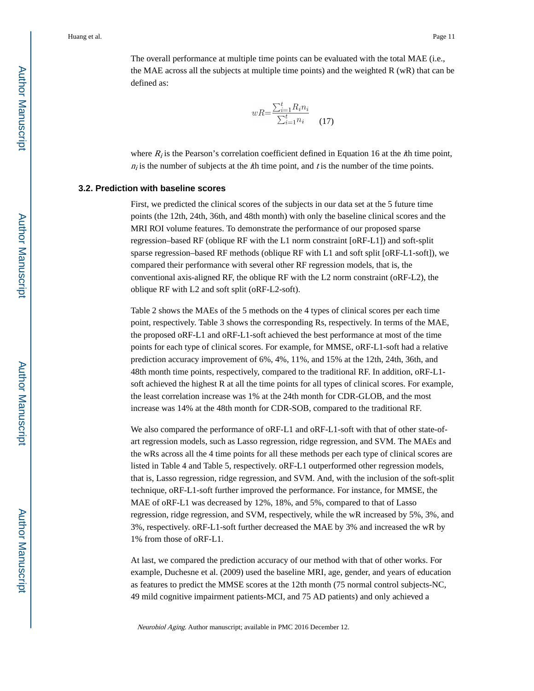The overall performance at multiple time points can be evaluated with the total MAE (i.e., the MAE across all the subjects at multiple time points) and the weighted R (wR) that can be defined as:

$$
wR = \frac{\sum_{i=1}^{t} R_i n_i}{\sum_{i=1}^{t} n_i}
$$
 (17)

where  $R_i$  is the Pearson's correlation coefficient defined in Equation 16 at the  $i$ th time point,  $n<sub>i</sub>$  is the number of subjects at the *i*th time point, and *t* is the number of the time points.

#### **3.2. Prediction with baseline scores**

First, we predicted the clinical scores of the subjects in our data set at the 5 future time points (the 12th, 24th, 36th, and 48th month) with only the baseline clinical scores and the MRI ROI volume features. To demonstrate the performance of our proposed sparse regression–based RF (oblique RF with the L1 norm constraint [oRF-L1]) and soft-split sparse regression–based RF methods (oblique RF with L1 and soft split [oRF-L1-soft]), we compared their performance with several other RF regression models, that is, the conventional axis-aligned RF, the oblique RF with the L2 norm constraint (oRF-L2), the oblique RF with L2 and soft split (oRF-L2-soft).

Table 2 shows the MAEs of the 5 methods on the 4 types of clinical scores per each time point, respectively. Table 3 shows the corresponding Rs, respectively. In terms of the MAE, the proposed oRF-L1 and oRF-L1-soft achieved the best performance at most of the time points for each type of clinical scores. For example, for MMSE, oRF-L1-soft had a relative prediction accuracy improvement of 6%, 4%, 11%, and 15% at the 12th, 24th, 36th, and 48th month time points, respectively, compared to the traditional RF. In addition, oRF-L1 soft achieved the highest R at all the time points for all types of clinical scores. For example, the least correlation increase was 1% at the 24th month for CDR-GLOB, and the most increase was 14% at the 48th month for CDR-SOB, compared to the traditional RF.

We also compared the performance of oRF-L1 and oRF-L1-soft with that of other state-ofart regression models, such as Lasso regression, ridge regression, and SVM. The MAEs and the wRs across all the 4 time points for all these methods per each type of clinical scores are listed in Table 4 and Table 5, respectively. oRF-L1 outperformed other regression models, that is, Lasso regression, ridge regression, and SVM. And, with the inclusion of the soft-split technique, oRF-L1-soft further improved the performance. For instance, for MMSE, the MAE of oRF-L1 was decreased by 12%, 18%, and 5%, compared to that of Lasso regression, ridge regression, and SVM, respectively, while the wR increased by 5%, 3%, and 3%, respectively. oRF-L1-soft further decreased the MAE by 3% and increased the wR by 1% from those of oRF-L1.

At last, we compared the prediction accuracy of our method with that of other works. For example, Duchesne et al. (2009) used the baseline MRI, age, gender, and years of education as features to predict the MMSE scores at the 12th month (75 normal control subjects-NC, 49 mild cognitive impairment patients-MCI, and 75 AD patients) and only achieved a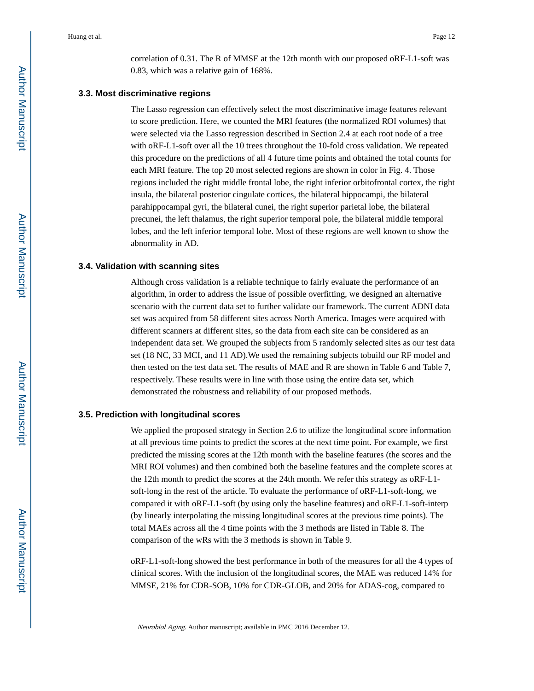correlation of 0.31. The R of MMSE at the 12th month with our proposed oRF-L1-soft was 0.83, which was a relative gain of 168%.

#### **3.3. Most discriminative regions**

The Lasso regression can effectively select the most discriminative image features relevant to score prediction. Here, we counted the MRI features (the normalized ROI volumes) that were selected via the Lasso regression described in Section 2.4 at each root node of a tree with oRF-L1-soft over all the 10 trees throughout the 10-fold cross validation. We repeated this procedure on the predictions of all 4 future time points and obtained the total counts for each MRI feature. The top 20 most selected regions are shown in color in Fig. 4. Those regions included the right middle frontal lobe, the right inferior orbitofrontal cortex, the right insula, the bilateral posterior cingulate cortices, the bilateral hippocampi, the bilateral parahippocampal gyri, the bilateral cunei, the right superior parietal lobe, the bilateral precunei, the left thalamus, the right superior temporal pole, the bilateral middle temporal lobes, and the left inferior temporal lobe. Most of these regions are well known to show the abnormality in AD.

#### **3.4. Validation with scanning sites**

Although cross validation is a reliable technique to fairly evaluate the performance of an algorithm, in order to address the issue of possible overfitting, we designed an alternative scenario with the current data set to further validate our framework. The current ADNI data set was acquired from 58 different sites across North America. Images were acquired with different scanners at different sites, so the data from each site can be considered as an independent data set. We grouped the subjects from 5 randomly selected sites as our test data set (18 NC, 33 MCI, and 11 AD).We used the remaining subjects tobuild our RF model and then tested on the test data set. The results of MAE and R are shown in Table 6 and Table 7, respectively. These results were in line with those using the entire data set, which demonstrated the robustness and reliability of our proposed methods.

#### **3.5. Prediction with longitudinal scores**

We applied the proposed strategy in Section 2.6 to utilize the longitudinal score information at all previous time points to predict the scores at the next time point. For example, we first predicted the missing scores at the 12th month with the baseline features (the scores and the MRI ROI volumes) and then combined both the baseline features and the complete scores at the 12th month to predict the scores at the 24th month. We refer this strategy as oRF-L1 soft-long in the rest of the article. To evaluate the performance of oRF-L1-soft-long, we compared it with oRF-L1-soft (by using only the baseline features) and oRF-L1-soft-interp (by linearly interpolating the missing longitudinal scores at the previous time points). The total MAEs across all the 4 time points with the 3 methods are listed in Table 8. The comparison of the wRs with the 3 methods is shown in Table 9.

oRF-L1-soft-long showed the best performance in both of the measures for all the 4 types of clinical scores. With the inclusion of the longitudinal scores, the MAE was reduced 14% for MMSE, 21% for CDR-SOB, 10% for CDR-GLOB, and 20% for ADAS-cog, compared to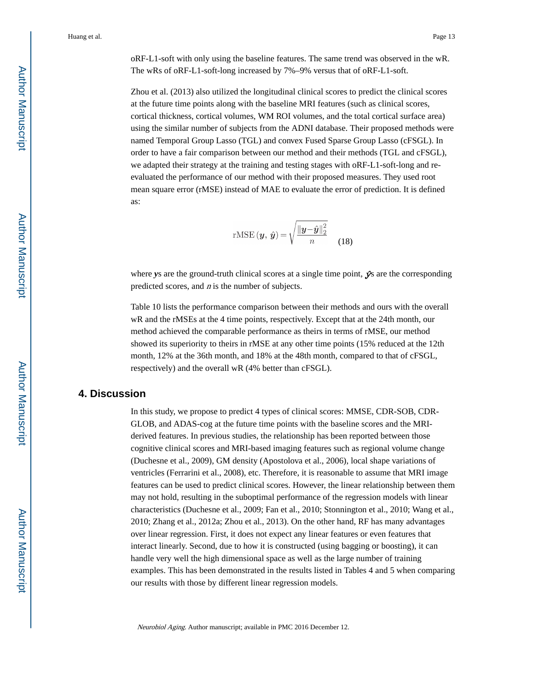oRF-L1-soft with only using the baseline features. The same trend was observed in the wR. The wRs of oRF-L1-soft-long increased by 7%–9% versus that of oRF-L1-soft.

Zhou et al. (2013) also utilized the longitudinal clinical scores to predict the clinical scores at the future time points along with the baseline MRI features (such as clinical scores, cortical thickness, cortical volumes, WM ROI volumes, and the total cortical surface area) using the similar number of subjects from the ADNI database. Their proposed methods were named Temporal Group Lasso (TGL) and convex Fused Sparse Group Lasso (cFSGL). In order to have a fair comparison between our method and their methods (TGL and cFSGL), we adapted their strategy at the training and testing stages with oRF-L1-soft-long and reevaluated the performance of our method with their proposed measures. They used root mean square error (rMSE) instead of MAE to evaluate the error of prediction. It is defined as:

rMSE 
$$
(y, \hat{y}) = \sqrt{\frac{\|\hat{y} - \hat{y}\|_2^2}{n}}
$$
 (18)

where *y*s are the ground-truth clinical scores at a single time point,  $\hat{\mathbf{y}}$ s are the corresponding predicted scores, and n is the number of subjects.

Table 10 lists the performance comparison between their methods and ours with the overall wR and the rMSEs at the 4 time points, respectively. Except that at the 24th month, our method achieved the comparable performance as theirs in terms of rMSE, our method showed its superiority to theirs in rMSE at any other time points (15% reduced at the 12th month, 12% at the 36th month, and 18% at the 48th month, compared to that of cFSGL, respectively) and the overall wR (4% better than cFSGL).

#### **4. Discussion**

In this study, we propose to predict 4 types of clinical scores: MMSE, CDR-SOB, CDR-GLOB, and ADAS-cog at the future time points with the baseline scores and the MRIderived features. In previous studies, the relationship has been reported between those cognitive clinical scores and MRI-based imaging features such as regional volume change (Duchesne et al., 2009), GM density (Apostolova et al., 2006), local shape variations of ventricles (Ferrarini et al., 2008), etc. Therefore, it is reasonable to assume that MRI image features can be used to predict clinical scores. However, the linear relationship between them may not hold, resulting in the suboptimal performance of the regression models with linear characteristics (Duchesne et al., 2009; Fan et al., 2010; Stonnington et al., 2010; Wang et al., 2010; Zhang et al., 2012a; Zhou et al., 2013). On the other hand, RF has many advantages over linear regression. First, it does not expect any linear features or even features that interact linearly. Second, due to how it is constructed (using bagging or boosting), it can handle very well the high dimensional space as well as the large number of training examples. This has been demonstrated in the results listed in Tables 4 and 5 when comparing our results with those by different linear regression models.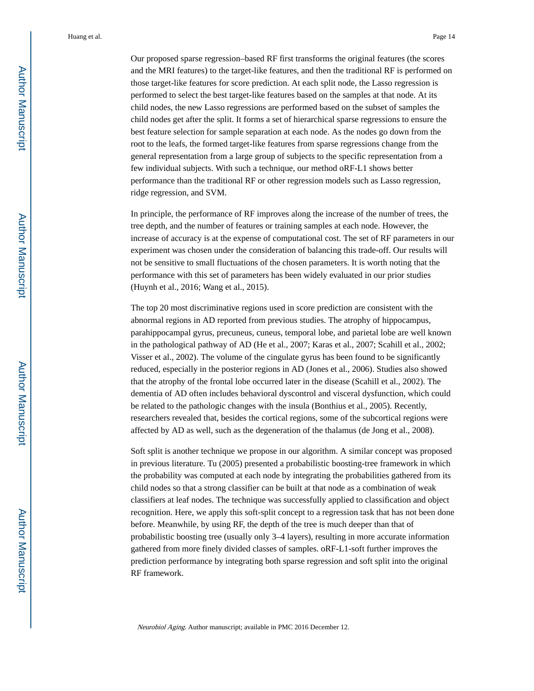Our proposed sparse regression–based RF first transforms the original features (the scores and the MRI features) to the target-like features, and then the traditional RF is performed on those target-like features for score prediction. At each split node, the Lasso regression is performed to select the best target-like features based on the samples at that node. At its child nodes, the new Lasso regressions are performed based on the subset of samples the child nodes get after the split. It forms a set of hierarchical sparse regressions to ensure the best feature selection for sample separation at each node. As the nodes go down from the root to the leafs, the formed target-like features from sparse regressions change from the general representation from a large group of subjects to the specific representation from a few individual subjects. With such a technique, our method oRF-L1 shows better performance than the traditional RF or other regression models such as Lasso regression, ridge regression, and SVM.

In principle, the performance of RF improves along the increase of the number of trees, the tree depth, and the number of features or training samples at each node. However, the increase of accuracy is at the expense of computational cost. The set of RF parameters in our experiment was chosen under the consideration of balancing this trade-off. Our results will not be sensitive to small fluctuations of the chosen parameters. It is worth noting that the performance with this set of parameters has been widely evaluated in our prior studies (Huynh et al., 2016; Wang et al., 2015).

The top 20 most discriminative regions used in score prediction are consistent with the abnormal regions in AD reported from previous studies. The atrophy of hippocampus, parahippocampal gyrus, precuneus, cuneus, temporal lobe, and parietal lobe are well known in the pathological pathway of AD (He et al., 2007; Karas et al., 2007; Scahill et al., 2002; Visser et al., 2002). The volume of the cingulate gyrus has been found to be significantly reduced, especially in the posterior regions in AD (Jones et al., 2006). Studies also showed that the atrophy of the frontal lobe occurred later in the disease (Scahill et al., 2002). The dementia of AD often includes behavioral dyscontrol and visceral dysfunction, which could be related to the pathologic changes with the insula (Bonthius et al., 2005). Recently, researchers revealed that, besides the cortical regions, some of the subcortical regions were affected by AD as well, such as the degeneration of the thalamus (de Jong et al., 2008).

Soft split is another technique we propose in our algorithm. A similar concept was proposed in previous literature. Tu (2005) presented a probabilistic boosting-tree framework in which the probability was computed at each node by integrating the probabilities gathered from its child nodes so that a strong classifier can be built at that node as a combination of weak classifiers at leaf nodes. The technique was successfully applied to classification and object recognition. Here, we apply this soft-split concept to a regression task that has not been done before. Meanwhile, by using RF, the depth of the tree is much deeper than that of probabilistic boosting tree (usually only 3–4 layers), resulting in more accurate information gathered from more finely divided classes of samples. oRF-L1-soft further improves the prediction performance by integrating both sparse regression and soft split into the original RF framework.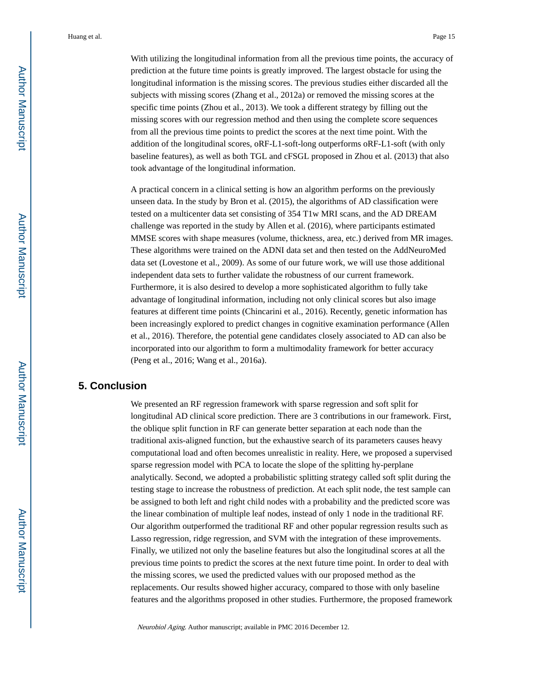With utilizing the longitudinal information from all the previous time points, the accuracy of prediction at the future time points is greatly improved. The largest obstacle for using the longitudinal information is the missing scores. The previous studies either discarded all the subjects with missing scores (Zhang et al., 2012a) or removed the missing scores at the specific time points (Zhou et al., 2013). We took a different strategy by filling out the missing scores with our regression method and then using the complete score sequences from all the previous time points to predict the scores at the next time point. With the addition of the longitudinal scores, oRF-L1-soft-long outperforms oRF-L1-soft (with only baseline features), as well as both TGL and cFSGL proposed in Zhou et al. (2013) that also took advantage of the longitudinal information.

A practical concern in a clinical setting is how an algorithm performs on the previously unseen data. In the study by Bron et al. (2015), the algorithms of AD classification were tested on a multicenter data set consisting of 354 T1w MRI scans, and the AD DREAM challenge was reported in the study by Allen et al. (2016), where participants estimated MMSE scores with shape measures (volume, thickness, area, etc.) derived from MR images. These algorithms were trained on the ADNI data set and then tested on the AddNeuroMed data set (Lovestone et al., 2009). As some of our future work, we will use those additional independent data sets to further validate the robustness of our current framework. Furthermore, it is also desired to develop a more sophisticated algorithm to fully take advantage of longitudinal information, including not only clinical scores but also image features at different time points (Chincarini et al., 2016). Recently, genetic information has been increasingly explored to predict changes in cognitive examination performance (Allen et al., 2016). Therefore, the potential gene candidates closely associated to AD can also be incorporated into our algorithm to form a multimodality framework for better accuracy (Peng et al., 2016; Wang et al., 2016a).

#### **5. Conclusion**

We presented an RF regression framework with sparse regression and soft split for longitudinal AD clinical score prediction. There are 3 contributions in our framework. First, the oblique split function in RF can generate better separation at each node than the traditional axis-aligned function, but the exhaustive search of its parameters causes heavy computational load and often becomes unrealistic in reality. Here, we proposed a supervised sparse regression model with PCA to locate the slope of the splitting hy-perplane analytically. Second, we adopted a probabilistic splitting strategy called soft split during the testing stage to increase the robustness of prediction. At each split node, the test sample can be assigned to both left and right child nodes with a probability and the predicted score was the linear combination of multiple leaf nodes, instead of only 1 node in the traditional RF. Our algorithm outperformed the traditional RF and other popular regression results such as Lasso regression, ridge regression, and SVM with the integration of these improvements. Finally, we utilized not only the baseline features but also the longitudinal scores at all the previous time points to predict the scores at the next future time point. In order to deal with the missing scores, we used the predicted values with our proposed method as the replacements. Our results showed higher accuracy, compared to those with only baseline features and the algorithms proposed in other studies. Furthermore, the proposed framework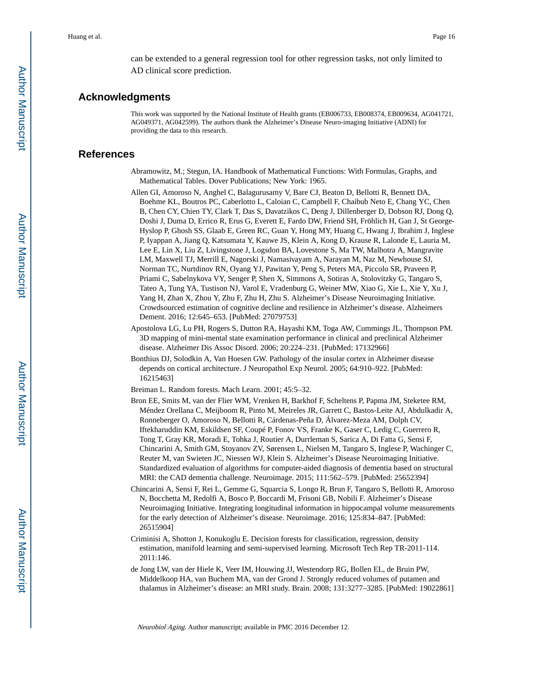can be extended to a general regression tool for other regression tasks, not only limited to AD clinical score prediction.

#### **Acknowledgments**

This work was supported by the National Institute of Health grants (EB006733, EB008374, EB009634, AG041721, AG049371, AG042599). The authors thank the Alzheimer's Disease Neuro-imaging Initiative (ADNI) for providing the data to this research.

#### **References**

- Abramowitz, M.; Stegun, IA. Handbook of Mathematical Functions: With Formulas, Graphs, and Mathematical Tables. Dover Publications; New York: 1965.
- Allen GI, Amoroso N, Anghel C, Balagurusamy V, Bare CJ, Beaton D, Bellotti R, Bennett DA, Boehme KL, Boutros PC, Caberlotto L, Caloian C, Campbell F, Chaibub Neto E, Chang YC, Chen B, Chen CY, Chien TY, Clark T, Das S, Davatzikos C, Deng J, Dillenberger D, Dobson RJ, Dong Q, Doshi J, Duma D, Errico R, Erus G, Everett E, Fardo DW, Friend SH, Fröhlich H, Gan J, St George-Hyslop P, Ghosh SS, Glaab E, Green RC, Guan Y, Hong MY, Huang C, Hwang J, Ibrahim J, Inglese P, Iyappan A, Jiang Q, Katsumata Y, Kauwe JS, Klein A, Kong D, Krause R, Lalonde E, Lauria M, Lee E, Lin X, Liu Z, Livingstone J, Logsdon BA, Lovestone S, Ma TW, Malhotra A, Mangravite LM, Maxwell TJ, Merrill E, Nagorski J, Namasivayam A, Narayan M, Naz M, Newhouse SJ, Norman TC, Nurtdinov RN, Oyang YJ, Pawitan Y, Peng S, Peters MA, Piccolo SR, Praveen P, Priami C, Sabelnykova VY, Senger P, Shen X, Simmons A, Sotiras A, Stolovitzky G, Tangaro S, Tateo A, Tung YA, Tustison NJ, Varol E, Vradenburg G, Weiner MW, Xiao G, Xie L, Xie Y, Xu J, Yang H, Zhan X, Zhou Y, Zhu F, Zhu H, Zhu S. Alzheimer's Disease Neuroimaging Initiative. Crowdsourced estimation of cognitive decline and resilience in Alzheimer's disease. Alzheimers Dement. 2016; 12:645–653. [PubMed: 27079753]
- Apostolova LG, Lu PH, Rogers S, Dutton RA, Hayashi KM, Toga AW, Cummings JL, Thompson PM. 3D mapping of mini-mental state examination performance in clinical and preclinical Alzheimer disease. Alzheimer Dis Assoc Disord. 2006; 20:224–231. [PubMed: 17132966]
- Bonthius DJ, Solodkin A, Van Hoesen GW. Pathology of the insular cortex in Alzheimer disease depends on cortical architecture. J Neuropathol Exp Neurol. 2005; 64:910–922. [PubMed: 16215463]
- Breiman L. Random forests. Mach Learn. 2001; 45:5–32.
- Bron EE, Smits M, van der Flier WM, Vrenken H, Barkhof F, Scheltens P, Papma JM, Steketee RM, Méndez Orellana C, Meijboom R, Pinto M, Meireles JR, Garrett C, Bastos-Leite AJ, Abdulkadir A, Ronneberger O, Amoroso N, Bellotti R, Cárdenas-Peña D, Álvarez-Meza AM, Dolph CV, Iftekharuddin KM, Eskildsen SF, Coupé P, Fonov VS, Franke K, Gaser C, Ledig C, Guerrero R, Tong T, Gray KR, Moradi E, Tohka J, Routier A, Durrleman S, Sarica A, Di Fatta G, Sensi F, Chincarini A, Smith GM, Stoyanov ZV, Sørensen L, Nielsen M, Tangaro S, Inglese P, Wachinger C, Reuter M, van Swieten JC, Niessen WJ, Klein S. Alzheimer's Disease Neuroimaging Initiative. Standardized evaluation of algorithms for computer-aided diagnosis of dementia based on structural MRI: the CAD dementia challenge. Neuroimage. 2015; 111:562–579. [PubMed: 25652394]
- Chincarini A, Sensi F, Rei L, Gemme G, Squarcia S, Longo R, Brun F, Tangaro S, Bellotti R, Amoroso N, Bocchetta M, Redolfi A, Bosco P, Boccardi M, Frisoni GB, Nobili F. Alzheimer's Disease Neuroimaging Initiative. Integrating longitudinal information in hippocampal volume measurements for the early detection of Alzheimer's disease. Neuroimage. 2016; 125:834–847. [PubMed: 26515904]
- Criminisi A, Shotton J, Konukoglu E. Decision forests for classification, regression, density estimation, manifold learning and semi-supervised learning. Microsoft Tech Rep TR-2011-114. 2011:146.
- de Jong LW, van der Hiele K, Veer IM, Houwing JJ, Westendorp RG, Bollen EL, de Bruin PW, Middelkoop HA, van Buchem MA, van der Grond J. Strongly reduced volumes of putamen and thalamus in Alzheimer's disease: an MRI study. Brain. 2008; 131:3277–3285. [PubMed: 19022861]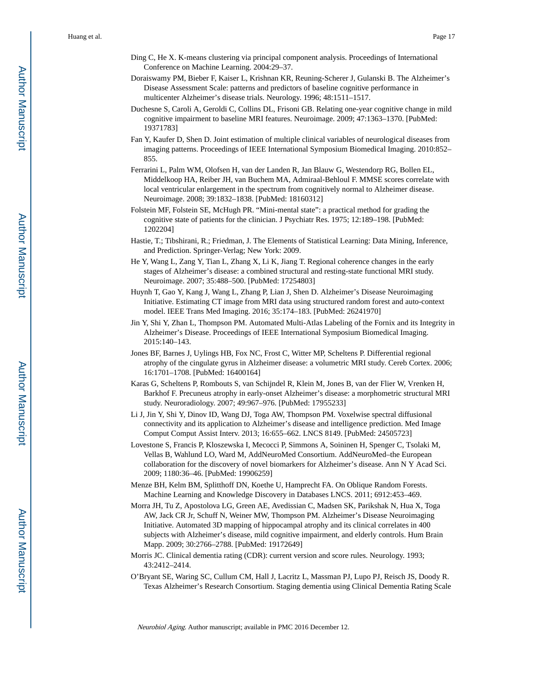- Ding C, He X. K-means clustering via principal component analysis. Proceedings of International Conference on Machine Learning. 2004:29–37.
- Doraiswamy PM, Bieber F, Kaiser L, Krishnan KR, Reuning-Scherer J, Gulanski B. The Alzheimer's Disease Assessment Scale: patterns and predictors of baseline cognitive performance in multicenter Alzheimer's disease trials. Neurology. 1996; 48:1511–1517.
- Duchesne S, Caroli A, Geroldi C, Collins DL, Frisoni GB. Relating one-year cognitive change in mild cognitive impairment to baseline MRI features. Neuroimage. 2009; 47:1363–1370. [PubMed: 19371783]
- Fan Y, Kaufer D, Shen D. Joint estimation of multiple clinical variables of neurological diseases from imaging patterns. Proceedings of IEEE International Symposium Biomedical Imaging. 2010:852– 855.
- Ferrarini L, Palm WM, Olofsen H, van der Landen R, Jan Blauw G, Westendorp RG, Bollen EL, Middelkoop HA, Reiber JH, van Buchem MA, Admiraal-Behloul F. MMSE scores correlate with local ventricular enlargement in the spectrum from cognitively normal to Alzheimer disease. Neuroimage. 2008; 39:1832–1838. [PubMed: 18160312]
- Folstein MF, Folstein SE, McHugh PR. "Mini-mental state": a practical method for grading the cognitive state of patients for the clinician. J Psychiatr Res. 1975; 12:189–198. [PubMed: 1202204]
- Hastie, T.; Tibshirani, R.; Friedman, J. The Elements of Statistical Learning: Data Mining, Inference, and Prediction. Springer-Verlag; New York: 2009.
- He Y, Wang L, Zang Y, Tian L, Zhang X, Li K, Jiang T. Regional coherence changes in the early stages of Alzheimer's disease: a combined structural and resting-state functional MRI study. Neuroimage. 2007; 35:488–500. [PubMed: 17254803]
- Huynh T, Gao Y, Kang J, Wang L, Zhang P, Lian J, Shen D. Alzheimer's Disease Neuroimaging Initiative. Estimating CT image from MRI data using structured random forest and auto-context model. IEEE Trans Med Imaging. 2016; 35:174–183. [PubMed: 26241970]
- Jin Y, Shi Y, Zhan L, Thompson PM. Automated Multi-Atlas Labeling of the Fornix and its Integrity in Alzheimer's Disease. Proceedings of IEEE International Symposium Biomedical Imaging. 2015:140–143.
- Jones BF, Barnes J, Uylings HB, Fox NC, Frost C, Witter MP, Scheltens P. Differential regional atrophy of the cingulate gyrus in Alzheimer disease: a volumetric MRI study. Cereb Cortex. 2006; 16:1701–1708. [PubMed: 16400164]
- Karas G, Scheltens P, Rombouts S, van Schijndel R, Klein M, Jones B, van der Flier W, Vrenken H, Barkhof F. Precuneus atrophy in early-onset Alzheimer's disease: a morphometric structural MRI study. Neuroradiology. 2007; 49:967–976. [PubMed: 17955233]
- Li J, Jin Y, Shi Y, Dinov ID, Wang DJ, Toga AW, Thompson PM. Voxelwise spectral diffusional connectivity and its application to Alzheimer's disease and intelligence prediction. Med Image Comput Comput Assist Interv. 2013; 16:655–662. LNCS 8149. [PubMed: 24505723]
- Lovestone S, Francis P, Kloszewska I, Mecocci P, Simmons A, Soininen H, Spenger C, Tsolaki M, Vellas B, Wahlund LO, Ward M, AddNeuroMed Consortium. AddNeuroMed–the European collaboration for the discovery of novel biomarkers for Alzheimer's disease. Ann N Y Acad Sci. 2009; 1180:36–46. [PubMed: 19906259]
- Menze BH, Kelm BM, Splitthoff DN, Koethe U, Hamprecht FA. On Oblique Random Forests. Machine Learning and Knowledge Discovery in Databases LNCS. 2011; 6912:453–469.
- Morra JH, Tu Z, Apostolova LG, Green AE, Avedissian C, Madsen SK, Parikshak N, Hua X, Toga AW, Jack CR Jr, Schuff N, Weiner MW, Thompson PM. Alzheimer's Disease Neuroimaging Initiative. Automated 3D mapping of hippocampal atrophy and its clinical correlates in 400 subjects with Alzheimer's disease, mild cognitive impairment, and elderly controls. Hum Brain Mapp. 2009; 30:2766–2788. [PubMed: 19172649]
- Morris JC. Clinical dementia rating (CDR): current version and score rules. Neurology. 1993; 43:2412–2414.
- O'Bryant SE, Waring SC, Cullum CM, Hall J, Lacritz L, Massman PJ, Lupo PJ, Reisch JS, Doody R. Texas Alzheimer's Research Consortium. Staging dementia using Clinical Dementia Rating Scale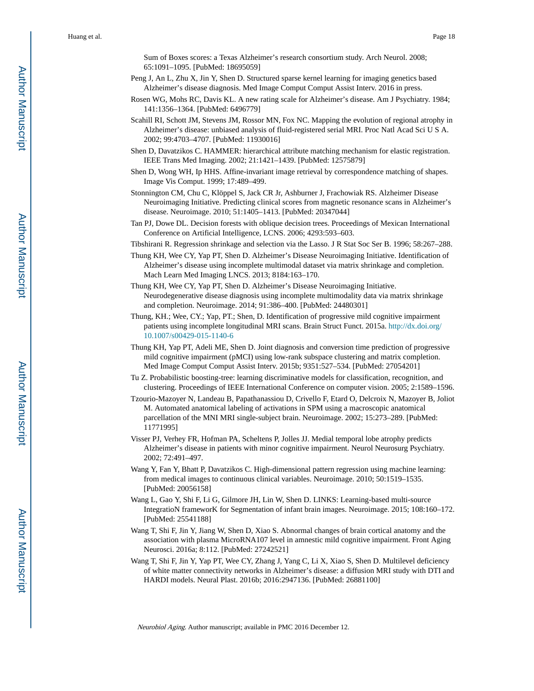Sum of Boxes scores: a Texas Alzheimer's research consortium study. Arch Neurol. 2008; 65:1091–1095. [PubMed: 18695059]

- Peng J, An L, Zhu X, Jin Y, Shen D. Structured sparse kernel learning for imaging genetics based Alzheimer's disease diagnosis. Med Image Comput Comput Assist Interv. 2016 in press.
- Rosen WG, Mohs RC, Davis KL. A new rating scale for Alzheimer's disease. Am J Psychiatry. 1984; 141:1356–1364. [PubMed: 6496779]
- Scahill RI, Schott JM, Stevens JM, Rossor MN, Fox NC. Mapping the evolution of regional atrophy in Alzheimer's disease: unbiased analysis of fluid-registered serial MRI. Proc Natl Acad Sci U S A. 2002; 99:4703–4707. [PubMed: 11930016]
- Shen D, Davatzikos C. HAMMER: hierarchical attribute matching mechanism for elastic registration. IEEE Trans Med Imaging. 2002; 21:1421–1439. [PubMed: 12575879]
- Shen D, Wong WH, Ip HHS. Affine-invariant image retrieval by correspondence matching of shapes. Image Vis Comput. 1999; 17:489–499.
- Stonnington CM, Chu C, Klöppel S, Jack CR Jr, Ashburner J, Frachowiak RS. Alzheimer Disease Neuroimaging Initiative. Predicting clinical scores from magnetic resonance scans in Alzheimer's disease. Neuroimage. 2010; 51:1405–1413. [PubMed: 20347044]
- Tan PJ, Dowe DL. Decision forests with oblique decision trees. Proceedings of Mexican International Conference on Artificial Intelligence, LCNS. 2006; 4293:593–603.
- Tibshirani R. Regression shrinkage and selection via the Lasso. J R Stat Soc Ser B. 1996; 58:267–288.
- Thung KH, Wee CY, Yap PT, Shen D. Alzheimer's Disease Neuroimaging Initiative. Identification of Alzheimer's disease using incomplete multimodal dataset via matrix shrinkage and completion. Mach Learn Med Imaging LNCS. 2013; 8184:163–170.
- Thung KH, Wee CY, Yap PT, Shen D. Alzheimer's Disease Neuroimaging Initiative. Neurodegenerative disease diagnosis using incomplete multimodality data via matrix shrinkage and completion. Neuroimage. 2014; 91:386–400. [PubMed: 24480301]
- Thung, KH.; Wee, CY.; Yap, PT.; Shen, D. Identification of progressive mild cognitive impairment patients using incomplete longitudinal MRI scans. Brain Struct Funct. 2015a. [http://dx.doi.org/](http://dx.doi.org/10.1007/s00429-015-1140-6) [10.1007/s00429-015-1140-6](http://dx.doi.org/10.1007/s00429-015-1140-6)
- Thung KH, Yap PT, Adeli ME, Shen D. Joint diagnosis and conversion time prediction of progressive mild cognitive impairment (pMCI) using low-rank subspace clustering and matrix completion. Med Image Comput Comput Assist Interv. 2015b; 9351:527–534. [PubMed: 27054201]
- Tu Z. Probabilistic boosting-tree: learning discriminative models for classification, recognition, and clustering. Proceedings of IEEE International Conference on computer vision. 2005; 2:1589–1596.
- Tzourio-Mazoyer N, Landeau B, Papathanassiou D, Crivello F, Etard O, Delcroix N, Mazoyer B, Joliot M. Automated anatomical labeling of activations in SPM using a macroscopic anatomical parcellation of the MNI MRI single-subject brain. Neuroimage. 2002; 15:273–289. [PubMed: 11771995]
- Visser PJ, Verhey FR, Hofman PA, Scheltens P, Jolles JJ. Medial temporal lobe atrophy predicts Alzheimer's disease in patients with minor cognitive impairment. Neurol Neurosurg Psychiatry. 2002; 72:491–497.
- Wang Y, Fan Y, Bhatt P, Davatzikos C. High-dimensional pattern regression using machine learning: from medical images to continuous clinical variables. Neuroimage. 2010; 50:1519–1535. [PubMed: 20056158]
- Wang L, Gao Y, Shi F, Li G, Gilmore JH, Lin W, Shen D. LINKS: Learning-based multi-source IntegratioN frameworK for Segmentation of infant brain images. Neuroimage. 2015; 108:160–172. [PubMed: 25541188]
- Wang T, Shi F, Jin Y, Jiang W, Shen D, Xiao S. Abnormal changes of brain cortical anatomy and the association with plasma MicroRNA107 level in amnestic mild cognitive impairment. Front Aging Neurosci. 2016a; 8:112. [PubMed: 27242521]
- Wang T, Shi F, Jin Y, Yap PT, Wee CY, Zhang J, Yang C, Li X, Xiao S, Shen D. Multilevel deficiency of white matter connectivity networks in Alzheimer's disease: a diffusion MRI study with DTI and HARDI models. Neural Plast. 2016b; 2016:2947136. [PubMed: 26881100]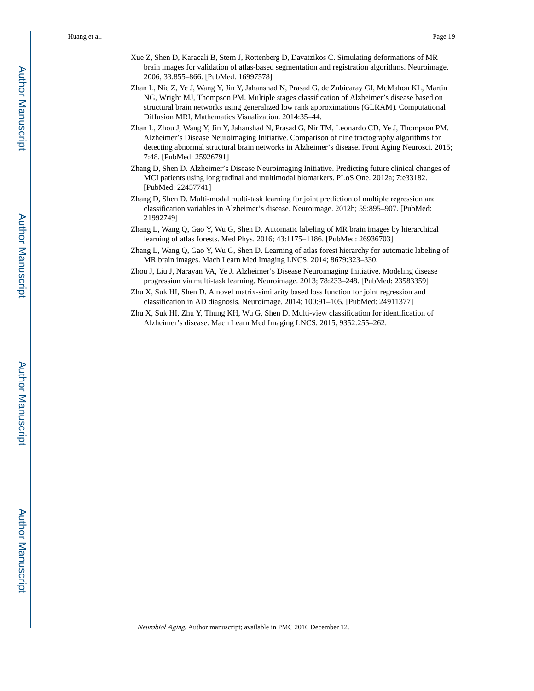- Xue Z, Shen D, Karacali B, Stern J, Rottenberg D, Davatzikos C. Simulating deformations of MR brain images for validation of atlas-based segmentation and registration algorithms. Neuroimage. 2006; 33:855–866. [PubMed: 16997578]
- Zhan L, Nie Z, Ye J, Wang Y, Jin Y, Jahanshad N, Prasad G, de Zubicaray GI, McMahon KL, Martin NG, Wright MJ, Thompson PM. Multiple stages classification of Alzheimer's disease based on structural brain networks using generalized low rank approximations (GLRAM). Computational Diffusion MRI, Mathematics Visualization. 2014:35–44.
- Zhan L, Zhou J, Wang Y, Jin Y, Jahanshad N, Prasad G, Nir TM, Leonardo CD, Ye J, Thompson PM. Alzheimer's Disease Neuroimaging Initiative. Comparison of nine tractography algorithms for detecting abnormal structural brain networks in Alzheimer's disease. Front Aging Neurosci. 2015; 7:48. [PubMed: 25926791]
- Zhang D, Shen D. Alzheimer's Disease Neuroimaging Initiative. Predicting future clinical changes of MCI patients using longitudinal and multimodal biomarkers. PLoS One. 2012a; 7:e33182. [PubMed: 22457741]
- Zhang D, Shen D. Multi-modal multi-task learning for joint prediction of multiple regression and classification variables in Alzheimer's disease. Neuroimage. 2012b; 59:895–907. [PubMed: 21992749]
- Zhang L, Wang Q, Gao Y, Wu G, Shen D. Automatic labeling of MR brain images by hierarchical learning of atlas forests. Med Phys. 2016; 43:1175–1186. [PubMed: 26936703]
- Zhang L, Wang Q, Gao Y, Wu G, Shen D. Learning of atlas forest hierarchy for automatic labeling of MR brain images. Mach Learn Med Imaging LNCS. 2014; 8679:323–330.
- Zhou J, Liu J, Narayan VA, Ye J. Alzheimer's Disease Neuroimaging Initiative. Modeling disease progression via multi-task learning. Neuroimage. 2013; 78:233–248. [PubMed: 23583359]
- Zhu X, Suk HI, Shen D. A novel matrix-similarity based loss function for joint regression and classification in AD diagnosis. Neuroimage. 2014; 100:91–105. [PubMed: 24911377]
- Zhu X, Suk HI, Zhu Y, Thung KH, Wu G, Shen D. Multi-view classification for identification of Alzheimer's disease. Mach Learn Med Imaging LNCS. 2015; 9352:255–262.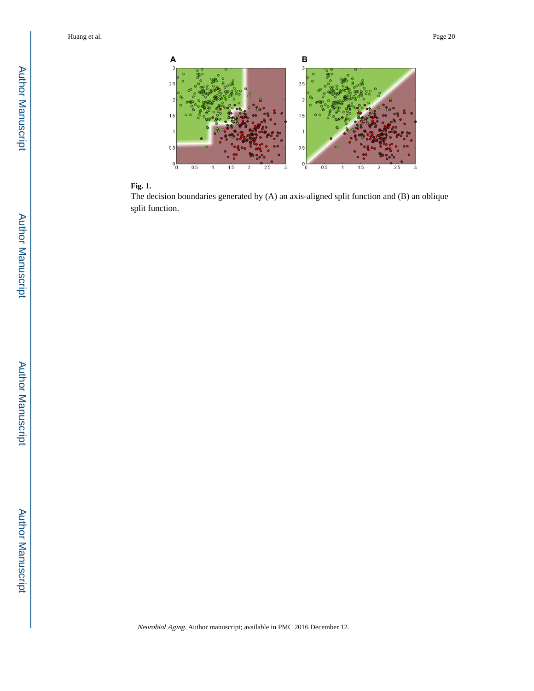



The decision boundaries generated by (A) an axis-aligned split function and (B) an oblique split function.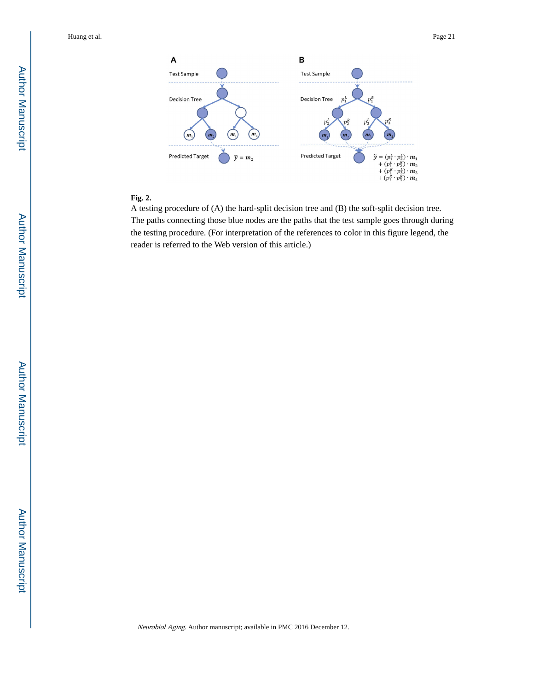

#### **Fig. 2.**

A testing procedure of (A) the hard-split decision tree and (B) the soft-split decision tree. The paths connecting those blue nodes are the paths that the test sample goes through during the testing procedure. (For interpretation of the references to color in this figure legend, the reader is referred to the Web version of this article.)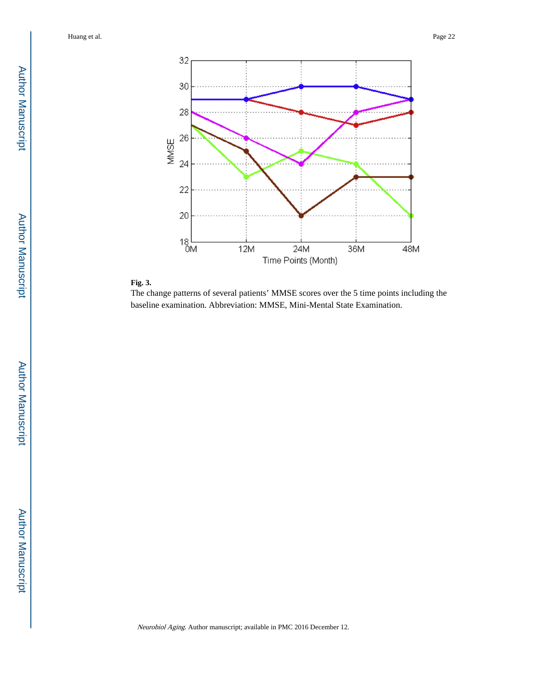



The change patterns of several patients' MMSE scores over the 5 time points including the baseline examination. Abbreviation: MMSE, Mini-Mental State Examination.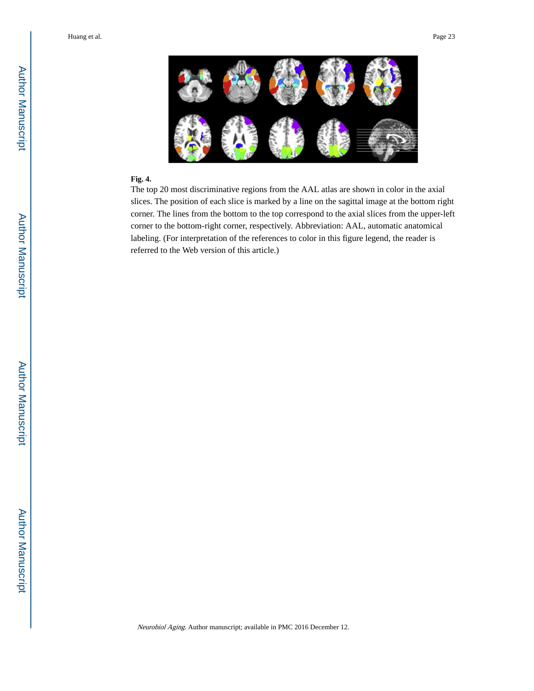

#### **Fig. 4.**

The top 20 most discriminative regions from the AAL atlas are shown in color in the axial slices. The position of each slice is marked by a line on the sagittal image at the bottom right corner. The lines from the bottom to the top correspond to the axial slices from the upper-left corner to the bottom-right corner, respectively. Abbreviation: AAL, automatic anatomical labeling. (For interpretation of the references to color in this figure legend, the reader is referred to the Web version of this article.)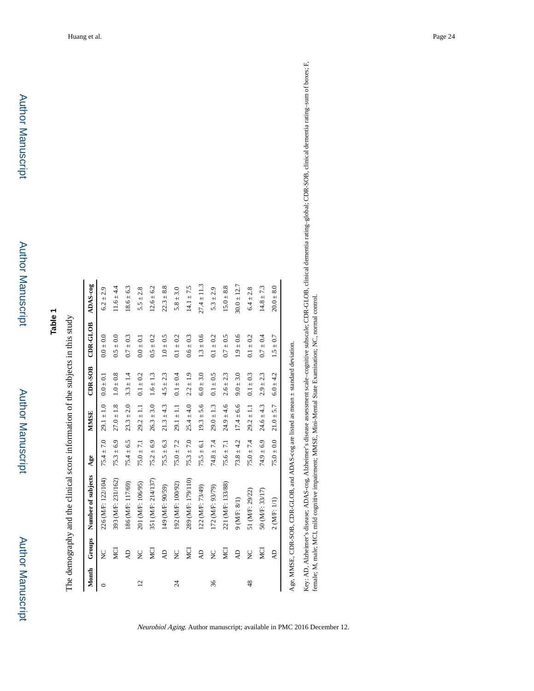| ì      |
|--------|
| ١      |
| j<br>ī |
|        |
|        |
| ï      |
|        |
|        |
| I      |

**Table 1**

The demography and the clinical score information of the subjects in this study The demography and the clinical score information of the subjects in this study

| Month          | Groups | Number of subjects | Age            | <b>MMSE</b>    | CDR-SOB       | CDR-GLOB      | ADAS-cog        |
|----------------|--------|--------------------|----------------|----------------|---------------|---------------|-----------------|
| $\circ$        | ă      | 226 (M/F: 122/104) | $75.4 \pm 7.0$ | $29.1 \pm 1.0$ | $0.0 \pm 0.1$ | $0.0 + 0.0$   | $6.2 \pm 2.9$   |
|                | DМ     | 393 (M/F: 231/162) | $75.3 \pm 6.9$ | $27.0 \pm 1.8$ | $1.0 \pm 0.8$ | $0.5 \pm 0.0$ | $11.6 \pm 4.4$  |
|                | Ę      | 186 (M/F: 117/69)  | $75.4 \pm 6.5$ | $23.3 \pm 2.0$ | $3.3 \pm 1.4$ | $0.7 \pm 0.3$ | $18.6 \pm 6.3$  |
| $\overline{c}$ | ă      | 201 (M/F: 106/95)  | $75.0 \pm 7.1$ | $29.2 \pm 1.1$ | $0.1 \pm 0.2$ | $0.0 \pm 0.1$ | $5.5 \pm 2.8$   |
|                | DМ     | 351 (M/F: 214/137) | $75.2 \pm 6.9$ | $26.3 \pm 3.0$ | $1.6 \pm 1.3$ | $0.5 \pm 0.2$ | $12.6 \pm 6.2$  |
|                | Ę      | 149 (M/F: 90/59)   | $75.5 \pm 6.3$ | $21.3 \pm 4.3$ | $4.5 \pm 2.3$ | $1.0 \pm 0.5$ | $22.3 \pm 8.8$  |
| $\overline{a}$ | ğ      | 192 (M/F: 100/92)  | $75.0 \pm 7.2$ | $29.1 \pm 1.1$ | $0.1 \pm 0.4$ | $0.1 \pm 0.2$ | $5.8 \pm 3.0$   |
|                | ă      | 289 (M/F: 179/110) | $75.3 \pm 7.0$ | $25.4 \pm 4.0$ | $2.2 \pm 1.9$ | $0.6 \pm 0.3$ | $14.1 \pm 7.5$  |
|                | Ę      | 122 (M/F: 73/49)   | $75.5 \pm 6.1$ | $19.3 \pm 5.6$ | $6.0 + 3.0$   | $1.3 \pm 0.6$ | $27.4 \pm 11.3$ |
| 36             | ă      | 172 (M/F: 93/79)   | $74.8 \pm 7.4$ | $29.0 \pm 1.3$ | $0.1 \pm 0.5$ | $0.1 \pm 0.2$ | $5.3 \pm 2.9$   |
|                | ă      | 221 (MF: 133/88)   | $75.6 \pm 7.1$ | $24.9 \pm 4.6$ | $2.6 \pm 2.3$ | $0.7 \pm 0.5$ | $15.0 \pm 8.8$  |
|                | Ę      | 9 (M/F: 8/1)       | $73.8 \pm 4.2$ | $17.4 \pm 6.6$ | $9.0 \pm 3.0$ | $1.9 \pm 0.6$ | $30.0 \pm 12.7$ |
| $\frac{8}{3}$  | ă      | 51 (M/F: 29/22)    | $75.0 \pm 7.4$ | $29.2 \pm 1.1$ | $0.1 \pm 0.3$ | $0.1 \pm 0.2$ | $6.4 \pm 2.8$   |
|                | DМ     | 50 (M/F: 33/17)    | $74.9 \pm 6.9$ | $24.6 \pm 4.3$ | $2.9 \pm 2.3$ | $0.7 \pm 0.4$ | $14.8 \pm 7.3$  |
|                | Ę      | 2 (M/F: 1/1)       | $75.0 \pm 0.0$ | $21.0 + 5.7$   | $6.0 \pm 4.2$ | $1.5 \pm 0.7$ | $20.0 + 8.0$    |

Neurobiol Aging. Author manuscript; available in PMC 2016 December 12.

Key: AD, Alzheimer's disease; ADAS-cog, Alzheimer's disease assessment scale-cognitive subscale; CDR-GLOB, clinical dementia rating-global; CDR-SOB, clinical dementia rating-sum of boxes; F,<br>female; M, male; MCI, mild cogn Key: AD, Alzheimer's disease; ADAS-cog, Alzheimer's disease assessment scale–cognitive subscale; CDR-GLOB, clinical dementia rating–global; CDR-SOB, clinical dementia rating–sum of boxes; F, female; M, male; MCI, mild cognitive impairment; MMSE, Mini-Mental State Examination; NC, normal control.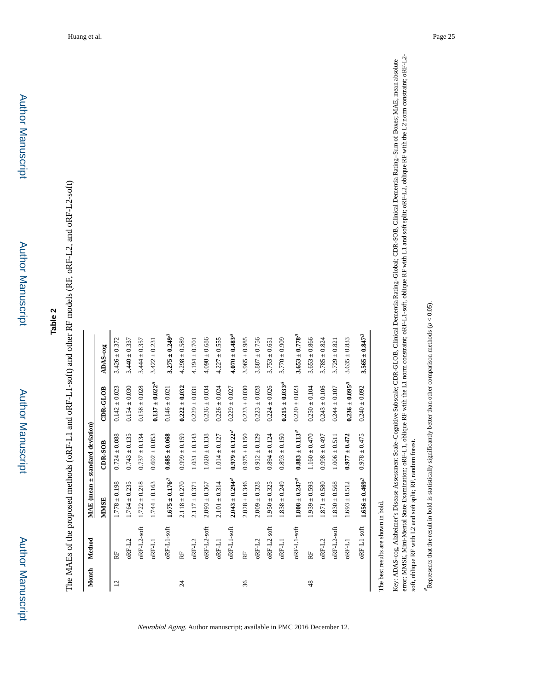Author Manuscript

**Author Manuscript** 

The MAEs of the proposed methods (oRF-L1 and oRF-L1-soft) and other RF models (RF, oRF-L2, and oRF-L2-soft) The MAEs of the proposed methods (oRF-L1 and oRF-L1-soft) and other RF models (RF, oRF-L2, and oRF-L2-soft)

| Month           | Method                    |                           | MAE (mean ± standard deviation) |                           |                                |
|-----------------|---------------------------|---------------------------|---------------------------------|---------------------------|--------------------------------|
|                 |                           | <b>MMSE</b>               | CDR-SOB                         | <b>CDR-GLOB</b>           | ADAS-cog                       |
| $\overline{c}$  | RF                        | $1.778 \pm 0.198$         | $0.724 \pm 0.088$               | $0.142 \pm 0.023$         | $3.426 \pm 0.372$              |
|                 | oRF-L2                    | $1.764 \pm 0.235$         | $0.743 \pm 0.135$               | $0.154 \pm 0.030$         | $3.440 \pm 0.337$              |
|                 | oRF-L2-soft               | $1.722 \pm 0.218$         | $0.737 \pm 0.134$               | $0.158 \pm 0.028$         | $3.444 \pm 0.357$              |
|                 | oRF-L1                    | $1.744 \pm 0.163$         | $0.692 \pm 0.053$               | $0.137 \pm 0.022^{\circ}$ | $3.422 \pm 0.231$              |
|                 | oRF-L1-soft               | $1.675 \pm 0.176^{2}$     | $0.685 \pm 0.068$               | $0.146 \pm 0.021$         | $3.275 \pm 0.249^2$            |
| $\overline{24}$ | RF                        | $2.118 \pm 0.270$         | $0.999 \pm 0.159$               | $0.222 \pm 0.032$         | $4.298 \pm 0.589$              |
|                 | oRF-L2                    | $2.117 \pm 0.371$         | $1.031 \pm 0.143$               | $0.229 \pm 0.031$         | $4.194 \pm 0.701$              |
|                 | oRF-L2-soft               | $2.093 \pm 0.367$         | $1.020 \pm 0.138$               | $0.236 \pm 0.034$         | $4.098 \pm 0.686$              |
|                 | oRF-L1                    | $2.101 \pm 0.314$         | $1.014 \pm 0.127$               | $0.226 \pm 0.024$         | $4.227 \pm 0.555$              |
|                 | oRF-L1-soft               | $2.043 \pm 0.294^2$       | $0.979 \pm 0.122^{\circ}$       | $0.229 \pm 0.027$         | $4.070 \pm 0.483$ <sup>2</sup> |
| 36              | R <sub>F</sub>            | $2.028 \pm 0.346$         | $0.975 \pm 0.150$               | $0.223 \pm 0.030$         | $3.965 \pm 0.985$              |
|                 | oRF-L2                    | $2.009 \pm 0.328$         | $0.912 \pm 0.129$               | $0.223 \pm 0.028$         | $3.887 \pm 0.756$              |
|                 | oRF-L2-soft               | $1.950 \pm 0.325$         | $0.894 \pm 0.124$               | $0.224 \pm 0.026$         | $3.753 \pm 0.651$              |
|                 | oRF-L1                    | $1.838 \pm 0.249$         | $0.893 \pm 0.150$               | $0.215 \pm 0.033^{\circ}$ | $3.770 \pm 0.909$              |
|                 | oRF-L1-soft               | $1.808 \pm 0.247^{\circ}$ | $0.883 \pm 0.113^{2}$           | $0.220 \pm 0.023$         | $3.653 \pm 0.778$ <sup>2</sup> |
| 48              | $\mathbb{R}^{\mathbb{H}}$ | $1.939 \pm 0.593$         | $1.160 \pm 0.470$               | $0.250 \pm 0.104$         | $3.653 \pm 0.866$              |
|                 | oRF-L2                    | $1.871 \pm 0.580$         | $0.998 \pm 0.497$               | $0.243 \pm 0.106$         | $3.785 \pm 0.824$              |
|                 | oRF-L2-soft               | $1.830 \pm 0.568$         | $1.006 \pm 0.511$               | $0.244 \pm 0.107$         | $3.729 \pm 0.821$              |
|                 | oRF-L1                    | $1.693 \pm 0.512$         | $0.977 \pm 0.472$               | $0.236 \pm 0.095^{\circ}$ | $3.635 \pm 0.833$              |
|                 | oRF-L1-soft               | $1.656 \pm 0.469^{2}$     | $0.978 \pm 0.475$               | $0.240 \pm 0.092$         | $3.565 \pm 0.847^{\circ}$      |

Neurobiol Aging. Author manuscript; available in PMC 2016 December 12.

The best results are shown in bold. The best results are shown in bold.

error; MMSE, Mini-Mental State Examination; oRF-L1, oblique RF with the L1 norm constraint; oRF-L1-soft, oblique RF with L1 and soft split; oRF-L2, oblique RF with the L2 norm constraint; oRF-L2error; MMSE, Mini-Mental State Examination; oRF-L1, oblique RF with the L1 norm constraint; oRF-L1-soft, oblique RF with L1 and soft split; oRF-L2, oblique RF with the L2 norm constraint; oRF-L2- Key: ADAS-cog, Alzheimer's Disease Assessment Scale-Cognitive Subscale; CDR-CLOB, Clinical Dementia Rating-Global; CDR-SOB, Clinical Dementia Rating-Sum of Boxes; MAE, mean absolute Key: ADAS-cog, Alzheimer's Disease Assessment Scale–Cognitive Subscale; CDR-GLOB, Clinical Dementia Rating–Global; CDR-SOB, Clinical Dementia Rating–Sum of Boxes; MAE, mean absolute soft, oblique RF with L2 and soft split; RF, random forest. soft, oblique RF with L2 and soft split; RF, random forest.

As presents that the result in bold is statistically significantly better than other comparison methods ( $p < 0.05$ ). Represents that the result in bold is statistically significantly better than other comparison methods  $(p < 0.05)$ .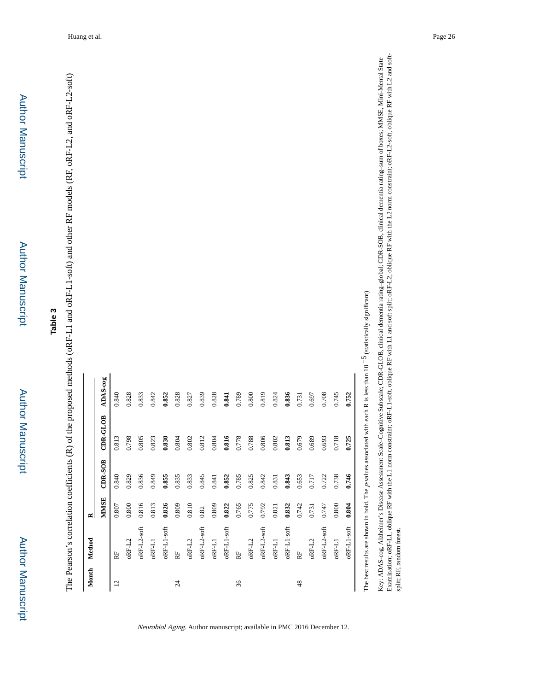Author Manuscript

**Author Manuscript** 

## **Table 3**

The Pearson's correlation coefficients (R) of the proposed methods (oRF-L1 and oRF-L1-soft) and other RF models (RF, oRF-L2, and oRF-L2-soft) The Pearson's correlation coefficients (R) of the proposed methods (oRF-L1 and oRF-L1-soft) and other RF models (RF, oRF-L2, and oRF-L2-soft)

| Month           | <b>Method</b> | ≃           |         |                 |           |
|-----------------|---------------|-------------|---------|-----------------|-----------|
|                 |               | <b>MMSE</b> | CDR-SOB | <b>CDR-GLOB</b> | ADAS-cog  |
| $\overline{c}$  | 꾽             | 0.807       | 0.840   | 0.813           | 0.840     |
|                 | oRF-L2        | $0.800\,$   | 0.829   | 0.798           | 0.828     |
|                 | oRF-L2-soft   | 0.816       | 0.836   | $0.805$         | 0.833     |
|                 | oRF-L1        | 0.813       | 0.849   | 0.823           | 0.842     |
|                 | oRF-L1-soft   | 0.826       | 0.855   | 0.830           | 0.852     |
| $\overline{24}$ | Ę             | 0.809       | 0.835   | 0.804           | 0.828     |
|                 | oRF-L2        | 0.810       | 0.833   | 0.802           | 0.827     |
|                 | oRF-L2-soft   | $0.82\,$    | 0.845   | 0.812           | 0.839     |
|                 | oRF-L1        | 0.809       | 0.841   | $0.804\,$       | 0.828     |
|                 | oRF-L1-soft   | 0.822       | 0.852   | 0.816           | 0.841     |
| 36              | Ę             | 0.765       | 0.785   | 0.778           | 0.789     |
|                 | oRF-L2        | 0.775       | 0.825   | 0.788           | $0.800\,$ |
|                 | oRF-L2-soft   | 0.792       | 0.842   | 0.806           | 0.819     |
|                 | oRF-L1        | 0.821       | 0.831   | 0.802           | 0.824     |
|                 | oRF-L1-soft   | 0.832       | 0.843   | 0.813           | 0.836     |
| 48              | RF            | 0.742       | 0.653   | 0.679           | 0.731     |
|                 | oRF-L2        | 0.731       | 0.717   | 0.689           | 0.697     |
|                 | oRF-L2-soft   | 0.747       | 0.722   | 0.693           | 0.708     |
|                 | ORF-L1        | $0.800\,$   | 0.738   | 0.718           | 0.745     |
|                 | oRF-L1-soft   | 0.804       | 0.746   | 0.725           | 0.752     |

Neurobiol Aging. Author manuscript; available in PMC 2016 December 12.

The best results are shown in bold. The *p*-values associated with each R is less than 10<sup> $-5$ </sup> (statistically significant)  $$ The best results are shown in bold. The

Examination; oRF-L1, oblique RF with the L1 norm constraint; oRF-L1-soft, oblique RF with L1 and soft split; oRF-L2, oblique RF with the L2 norm constraint; oRF-L2-soft, oblique RF with L2 and soft-Examination; oRF-L1, oblique RF with the L1 norm constraint; oRF-L1-soft, oblique RF with the L2 norm constraint; oRF-L2-soft, oblique RF with the L2 norm constraint; oRF-L2-soft, oblique RF with L2 and soft-Key: ADAS-cog, Alzheimer's Disease Assessment Scale-Cognitive Subscale; CDR-GLOB, clinical dementia rating-global; CDR-SOB, clinical dementia rating-sum of boxes; MMSE, Mini-Mental State Key: ADAS-cog, Alzheimer's Disease Assessment Scale–Cognitive Subscale; CDR-GLOB, clinical dementia rating–global; CDR-SOB, clinical dementia rating–sum of boxes; MMSE, Mini-Mental State split; RF, random forest. split; RF, random forest.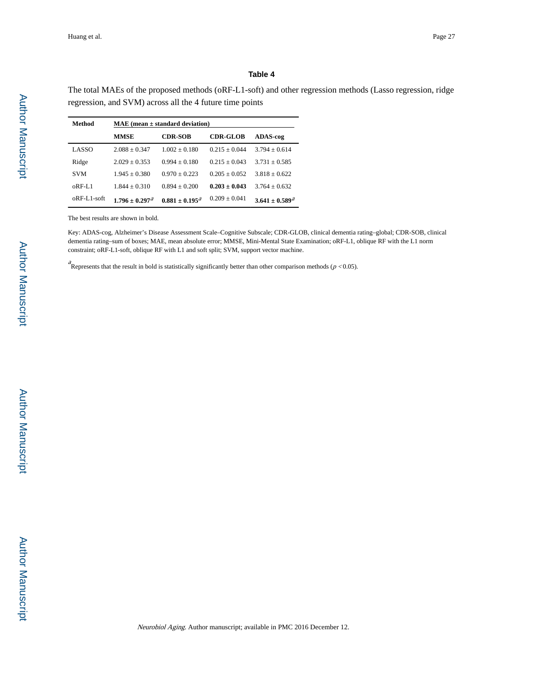#### **Table 4**

The total MAEs of the proposed methods (oRF-L1-soft) and other regression methods (Lasso regression, ridge regression, and SVM) across all the 4 future time points

| Method         |                         | $MAE$ (mean $\pm$ standard deviation) |                 |                       |
|----------------|-------------------------|---------------------------------------|-----------------|-----------------------|
|                | <b>MMSE</b>             | <b>CDR-SOB</b>                        | <b>CDR-GLOB</b> | <b>ADAS-cog</b>       |
| LASSO          | $2.088 + 0.347$         | $1.002 + 0.180$                       | $0.215 + 0.044$ | $3.794 + 0.614$       |
| Ridge          | $2.029 + 0.353$         | $0.994 + 0.180$                       | $0.215 + 0.043$ | $3.731 + 0.585$       |
| <b>SVM</b>     | $1.945 + 0.380$         | $0.970 + 0.223$                       | $0.205 + 0.052$ | $3.818 + 0.622$       |
| $oRF-I.1$      | $1.844 + 0.310$         | $0.894 + 0.200$                       | $0.203 + 0.043$ | $3.764 + 0.632$       |
| $oRF-I.1-soft$ | $1.796 + 0.297^{\circ}$ | $0.881 \pm 0.195^{\circ}$             | $0.209 + 0.041$ | $3.641 \pm 0.589^{2}$ |

The best results are shown in bold.

Key: ADAS-cog, Alzheimer's Disease Assessment Scale–Cognitive Subscale; CDR-GLOB, clinical dementia rating–global; CDR-SOB, clinical dementia rating–sum of boxes; MAE, mean absolute error; MMSE, Mini-Mental State Examination; oRF-L1, oblique RF with the L1 norm constraint; oRF-L1-soft, oblique RF with L1 and soft split; SVM, support vector machine.

<sup>a</sup>Represents that the result in bold is statistically significantly better than other comparison methods ( $p < 0.05$ ).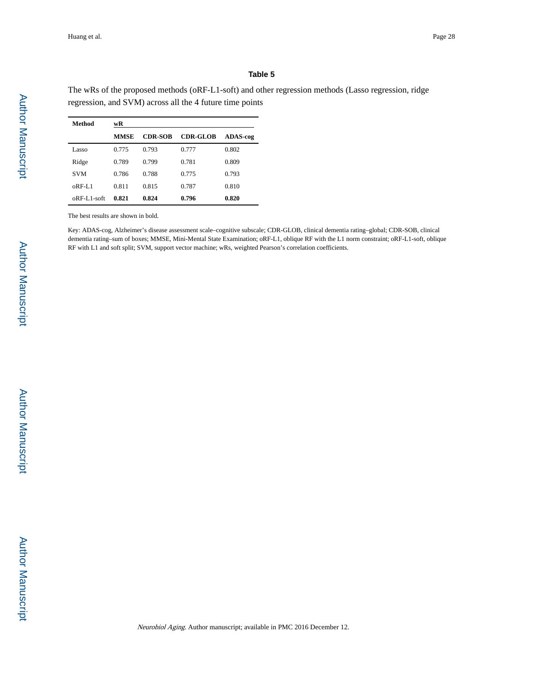#### **Table 5**

The wRs of the proposed methods (oRF-L1-soft) and other regression methods (Lasso regression, ridge regression, and SVM) across all the 4 future time points

| Method         | wR          |                |                 |                 |
|----------------|-------------|----------------|-----------------|-----------------|
|                | <b>MMSE</b> | <b>CDR-SOB</b> | <b>CDR-GLOB</b> | <b>ADAS-cog</b> |
| Lasso          | 0.775       | 0.793          | 0.777           | 0.802           |
| Ridge          | 0.789       | 0.799          | 0.781           | 0.809           |
| <b>SVM</b>     | 0.786       | 0.788          | 0.775           | 0.793           |
| $oRF-I.1$      | 0.811       | 0.815          | 0.787           | 0.810           |
| $oRF-I.1-soft$ | 0.821       | 0.824          | 0.796           | 0.820           |

The best results are shown in bold.

Key: ADAS-cog, Alzheimer's disease assessment scale–cognitive subscale; CDR-GLOB, clinical dementia rating–global; CDR-SOB, clinical dementia rating–sum of boxes; MMSE, Mini-Mental State Examination; oRF-L1, oblique RF with the L1 norm constraint; oRF-L1-soft, oblique RF with L1 and soft split; SVM, support vector machine; wRs, weighted Pearson's correlation coefficients.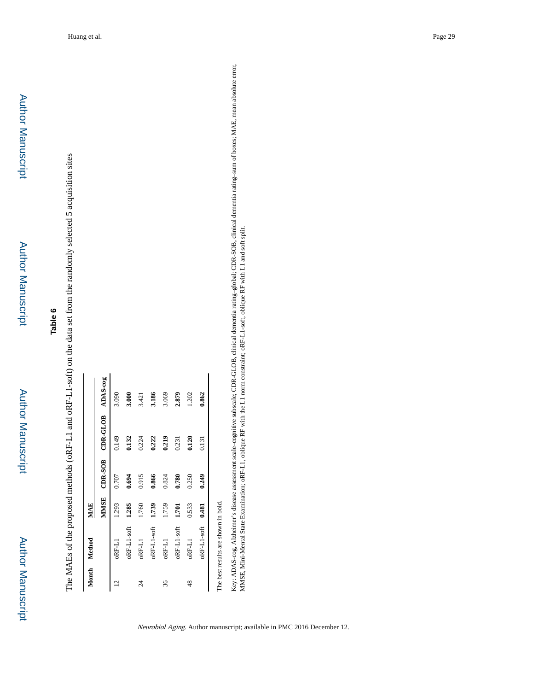Author Manuscript

**Author Manuscript** 

## **Table 6**

The MAEs of the proposed methods (oRF-L1 and oRF-L1-soft) on the data set from the randomly selected 5 acquisition sites The MAEs of the proposed methods (oRF-L1 and oRF-L1-soft) on the data set from the randomly selected 5 acquisition sites

|                | Month Method | <b>MAE</b>  |         |                   |       |
|----------------|--------------|-------------|---------|-------------------|-------|
|                |              | <b>MMSE</b> | CDR-SOB | CDR-GLOB ADAS-cog |       |
|                | ORF-L1       | 1.293       | 0.707   | 0.149             | 3.090 |
|                | oRF-L1-soft  | 1.285       | 0.694   | 0.132             | 3.000 |
| $\overline{z}$ | ORF-L1       | 1.760       | 0.915   | 0.224             | 3.421 |
|                | oRF-L1-soft  | 1.739       | 0.866   | 0.222             | 3.186 |
| 36             | ORF-L1       | 1.759       | 0.824   | 0.219             | 3.069 |
|                | oRF-L1-soft  | 1.701       | 0.780   | 0.231             | 2.879 |
| $^{48}$        | ORF-L1       | 0.533       | 0.250   | 0.120             | 1.202 |
|                | oRF-L1-soft  | 0.481       | 0.249   | 0.131             | 0.862 |

The best results are shown in bold. The best results are shown in bold. Key: ADAS-cog, Alzheimer's disease assessment scale-cognitive subscale; CDR-GLOB, clinical dementia rating-slobal; CDR-SOB, clinical dementia rating-sum of boxes; MAE, mean absolute error,<br>MMSE, Mini-Mental State Examinati Key: ADAS-cog, Alzheimer's disease assessment scale–cognitive subscale; CDR-GLOB, clinical dementia rating–global; CDR-SOB, clinical dementia rating–sum of boxes; MAE, mean absolute error, MMSE, Mini-Mental State Examination; oRF-L1, oblique RF with the L1 norm constraint; oRF-L1-soft, oblique RF with L1 and soft split.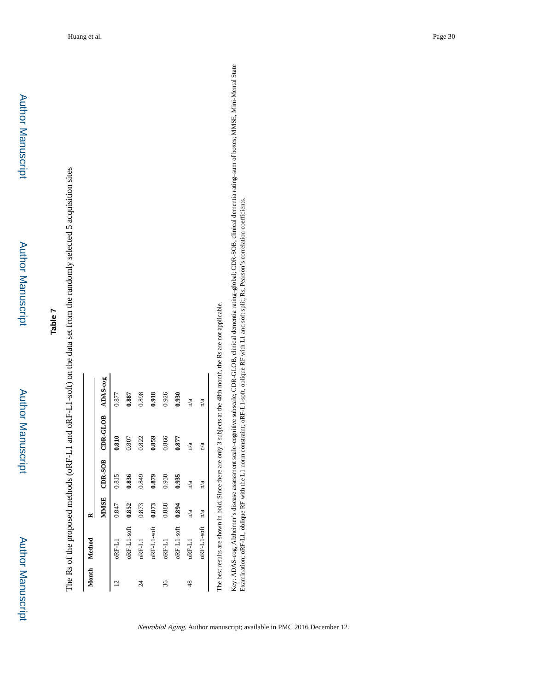Author Manuscript

**Author Manuscript** 

### **Table 7**

The Rs of the proposed methods (oRF-L1 and oRF-L1-soft) on the data set from the randomly selected 5 acquisition sites The Rs of the proposed methods (oRF-L1 and oRF-L1-soft) on the data set from the randomly selected 5 acquisition sites

|                 | Month Method | ≃     |       |                                |       |
|-----------------|--------------|-------|-------|--------------------------------|-------|
|                 |              |       |       | MMSE CDR-SOB CDR-GLOB ADAS-cog |       |
| $\overline{c}$  | DRF-L1       | 0.847 | 0.815 | 0.810                          | 0.877 |
|                 | oRF-L1-soft  | 0.852 | 0.836 | 0.807                          | 0.887 |
| $\overline{24}$ | DRF-L1       | 0.873 | 0.849 | 0.822                          | 0.898 |
|                 | oRF-L1-soft  | 0.873 | 0.879 | 0.859                          | 0.918 |
| 36              | ORF-L1       | 0.888 | 0.930 | 0.866                          | 0.926 |
|                 | oRF-L1-soft  | 0.894 | 0.935 | 0.877                          | 0.930 |
| $\frac{8}{3}$   | oRF-L1       | a/a   | a/a   | a/a                            | a/a   |
|                 | oRF-L1-soft  | n/a   | n/a   | n/a                            | n/a   |

The best results are shown in bold. Since there are only 3 subjects at the 48th month, the Rs are not applicable. The best results are shown in bold. Since there are only 3 subjects at the 48th month, the Rs are not applicable.

Key: ADAS-cog, Alzheimer's disease assessment scale-cognitive subscale; CDR-GLOB, clinical dementia rating-global; CDR-SOB, clinical dementia rating-sum of boxes; MMSE, Mini-Mental State<br>Examination; oRF-L1, oblique RF wit Key: ADAS-cog, Alzheimer's disease assessment scale–cognitive subscale; CDR-GLOB, clinical dementia rating–global; CDR-SOB, clinical dementia rating–sum of boxes; MMSE, Mini-Mental State Examination; oRF-L1, oblique RF with the L1 norm constraint; oRF-L1-soft, oblique RF with L1 and soft split; Rs, Pearson's correlation coefficients.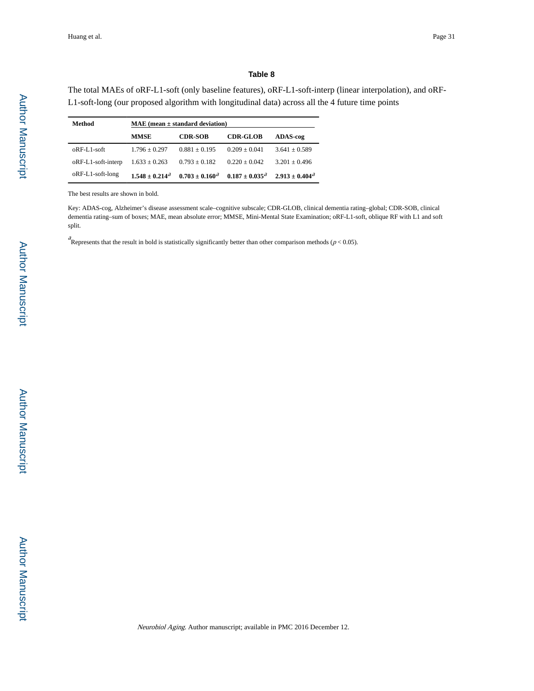#### **Table 8**

The total MAEs of oRF-L1-soft (only baseline features), oRF-L1-soft-interp (linear interpolation), and oRF-L1-soft-long (our proposed algorithm with longitudinal data) across all the 4 future time points

| Method             |                           | $MAE$ (mean $\pm$ standard deviation) |                     |                           |
|--------------------|---------------------------|---------------------------------------|---------------------|---------------------------|
|                    | <b>MMSE</b>               | <b>CDR-SOB</b>                        | <b>CDR-GLOB</b>     | <b>ADAS-cog</b>           |
| $oRF-L1-soft$      | $1.796 + 0.297$           | $0.881 + 0.195$                       | $0.209 + 0.041$     | $3.641 + 0.589$           |
| oRF-L1-soft-interp | $1.633 \pm 0.263$         | $0.793 + 0.182$                       | $0.220 + 0.042$     | $3.201 + 0.496$           |
| oRF-L1-soft-long   | $1.548 \pm 0.214^{\circ}$ | $0.703 \pm 0.160^2$                   | $0.187 \pm 0.035^2$ | $2.913 \pm 0.404^{\circ}$ |

The best results are shown in bold.

Key: ADAS-cog, Alzheimer's disease assessment scale–cognitive subscale; CDR-GLOB, clinical dementia rating–global; CDR-SOB, clinical dementia rating–sum of boxes; MAE, mean absolute error; MMSE, Mini-Mental State Examination; oRF-L1-soft, oblique RF with L1 and soft split.

 $\alpha$  Represents that the result in bold is statistically significantly better than other comparison methods ( $p < 0.05$ ).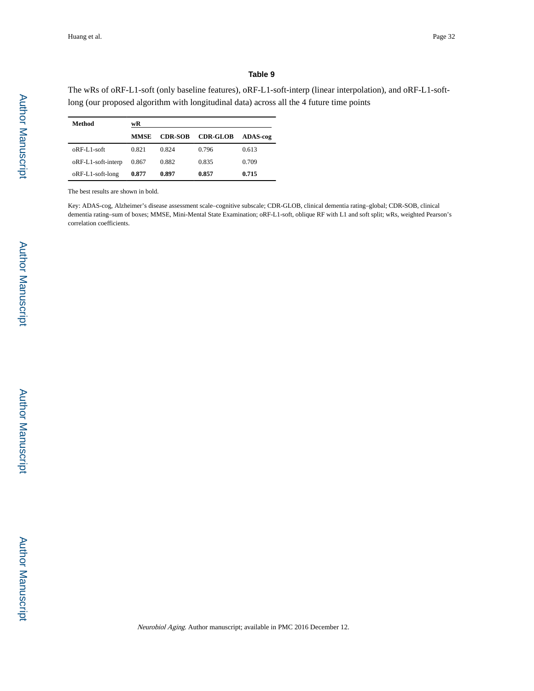#### **Table 9**

The wRs of oRF-L1-soft (only baseline features), oRF-L1-soft-interp (linear interpolation), and oRF-L1-softlong (our proposed algorithm with longitudinal data) across all the 4 future time points

| Method             | wR          |                |                 |                 |
|--------------------|-------------|----------------|-----------------|-----------------|
|                    | <b>MMSE</b> | <b>CDR-SOB</b> | <b>CDR-GLOB</b> | <b>ADAS-cog</b> |
| $oRF-I.1-soft$     | 0.821       | 0.824          | 0.796           | 0.613           |
| oRF-L1-soft-interp | 0.867       | 0.882          | 0.835           | 0.709           |
| oRF-L1-soft-long   | 0.877       | 0.897          | 0.857           | 0.715           |

The best results are shown in bold.

Key: ADAS-cog, Alzheimer's disease assessment scale–cognitive subscale; CDR-GLOB, clinical dementia rating–global; CDR-SOB, clinical dementia rating–sum of boxes; MMSE, Mini-Mental State Examination; oRF-L1-soft, oblique RF with L1 and soft split; wRs, weighted Pearson's correlation coefficients.